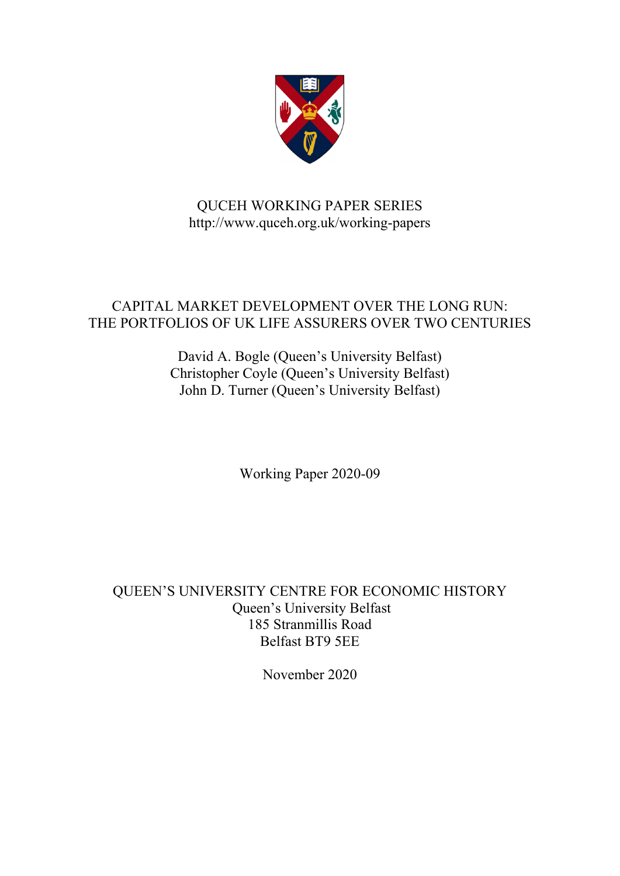

# QUCEH WORKING PAPER SERIES http://www.quceh.org.uk/working-papers

# CAPITAL MARKET DEVELOPMENT OVER THE LONG RUN: THE PORTFOLIOS OF UK LIFE ASSURERS OVER TWO CENTURIES

David A. Bogle (Queen's University Belfast) Christopher Coyle (Queen's University Belfast) John D. Turner (Queen's University Belfast)

Working Paper 2020-09

QUEEN'S UNIVERSITY CENTRE FOR ECONOMIC HISTORY Queen's University Belfast 185 Stranmillis Road Belfast BT9 5EE

November 2020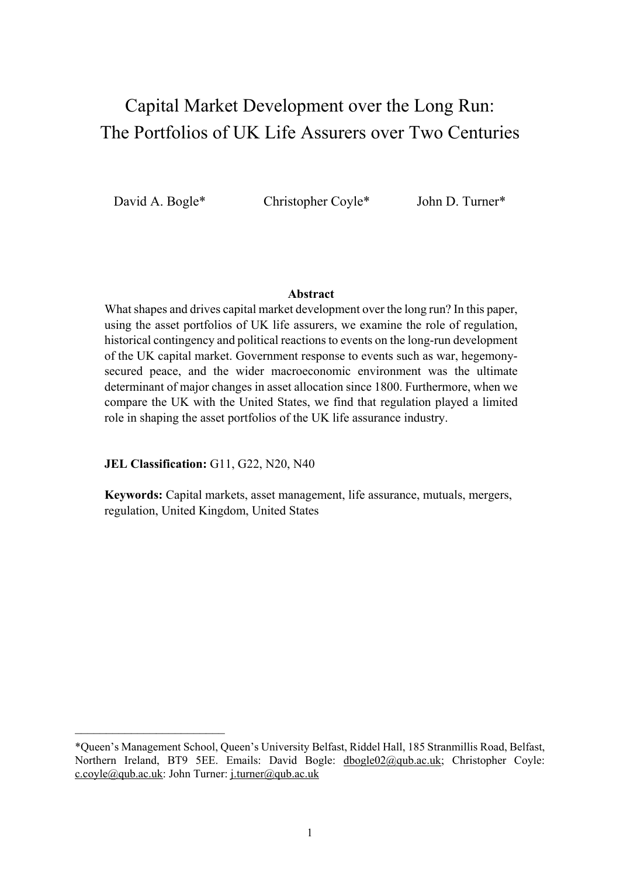# Capital Market Development over the Long Run: The Portfolios of UK Life Assurers over Two Centuries

David A. Bogle\* Christopher Coyle\* John D. Turner\*

## **Abstract**

What shapes and drives capital market development over the long run? In this paper, using the asset portfolios of UK life assurers, we examine the role of regulation, historical contingency and political reactions to events on the long-run development of the UK capital market. Government response to events such as war, hegemonysecured peace, and the wider macroeconomic environment was the ultimate determinant of major changes in asset allocation since 1800. Furthermore, when we compare the UK with the United States, we find that regulation played a limited role in shaping the asset portfolios of the UK life assurance industry.

**JEL Classification:** G11, G22, N20, N40

**Keywords:** Capital markets, asset management, life assurance, mutuals, mergers, regulation, United Kingdom, United States

<sup>\*</sup>Queen's Management School, Queen's University Belfast, Riddel Hall, 185 Stranmillis Road, Belfast, Northern Ireland, BT9 5EE. Emails: David Bogle: dbogle02@qub.ac.uk; Christopher Coyle: c.coyle@qub.ac.uk: John Turner: j.turner@qub.ac.uk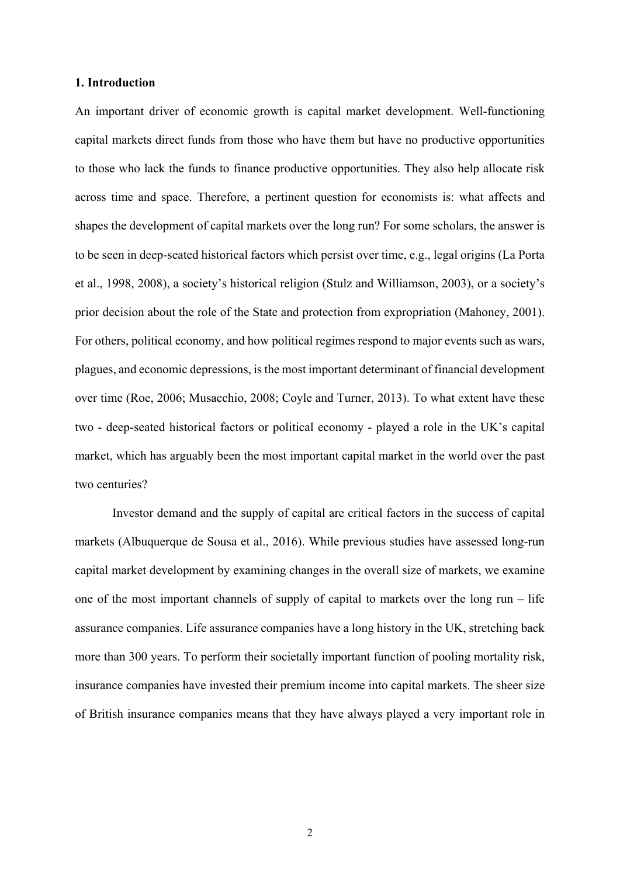#### **1. Introduction**

An important driver of economic growth is capital market development. Well-functioning capital markets direct funds from those who have them but have no productive opportunities to those who lack the funds to finance productive opportunities. They also help allocate risk across time and space. Therefore, a pertinent question for economists is: what affects and shapes the development of capital markets over the long run? For some scholars, the answer is to be seen in deep-seated historical factors which persist over time, e.g., legal origins (La Porta et al., 1998, 2008), a society's historical religion (Stulz and Williamson, 2003), or a society's prior decision about the role of the State and protection from expropriation (Mahoney, 2001). For others, political economy, and how political regimes respond to major events such as wars, plagues, and economic depressions, is the most important determinant of financial development over time (Roe, 2006; Musacchio, 2008; Coyle and Turner, 2013). To what extent have these two - deep-seated historical factors or political economy - played a role in the UK's capital market, which has arguably been the most important capital market in the world over the past two centuries?

 Investor demand and the supply of capital are critical factors in the success of capital markets (Albuquerque de Sousa et al., 2016). While previous studies have assessed long-run capital market development by examining changes in the overall size of markets, we examine one of the most important channels of supply of capital to markets over the long run – life assurance companies. Life assurance companies have a long history in the UK, stretching back more than 300 years. To perform their societally important function of pooling mortality risk, insurance companies have invested their premium income into capital markets. The sheer size of British insurance companies means that they have always played a very important role in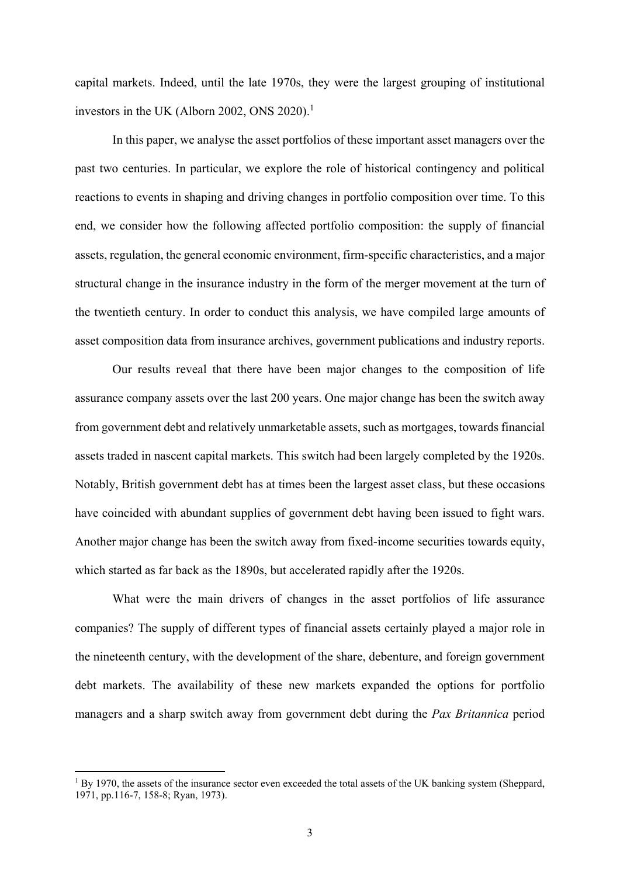capital markets. Indeed, until the late 1970s, they were the largest grouping of institutional investors in the UK (Alborn 2002, ONS 2020).<sup>1</sup>

In this paper, we analyse the asset portfolios of these important asset managers over the past two centuries. In particular, we explore the role of historical contingency and political reactions to events in shaping and driving changes in portfolio composition over time. To this end, we consider how the following affected portfolio composition: the supply of financial assets, regulation, the general economic environment, firm-specific characteristics, and a major structural change in the insurance industry in the form of the merger movement at the turn of the twentieth century. In order to conduct this analysis, we have compiled large amounts of asset composition data from insurance archives, government publications and industry reports.

Our results reveal that there have been major changes to the composition of life assurance company assets over the last 200 years. One major change has been the switch away from government debt and relatively unmarketable assets, such as mortgages, towards financial assets traded in nascent capital markets. This switch had been largely completed by the 1920s. Notably, British government debt has at times been the largest asset class, but these occasions have coincided with abundant supplies of government debt having been issued to fight wars. Another major change has been the switch away from fixed-income securities towards equity, which started as far back as the 1890s, but accelerated rapidly after the 1920s.

What were the main drivers of changes in the asset portfolios of life assurance companies? The supply of different types of financial assets certainly played a major role in the nineteenth century, with the development of the share, debenture, and foreign government debt markets. The availability of these new markets expanded the options for portfolio managers and a sharp switch away from government debt during the *Pax Britannica* period

**.** 

<sup>&</sup>lt;sup>1</sup> By 1970, the assets of the insurance sector even exceeded the total assets of the UK banking system (Sheppard, 1971, pp.116-7, 158-8; Ryan, 1973).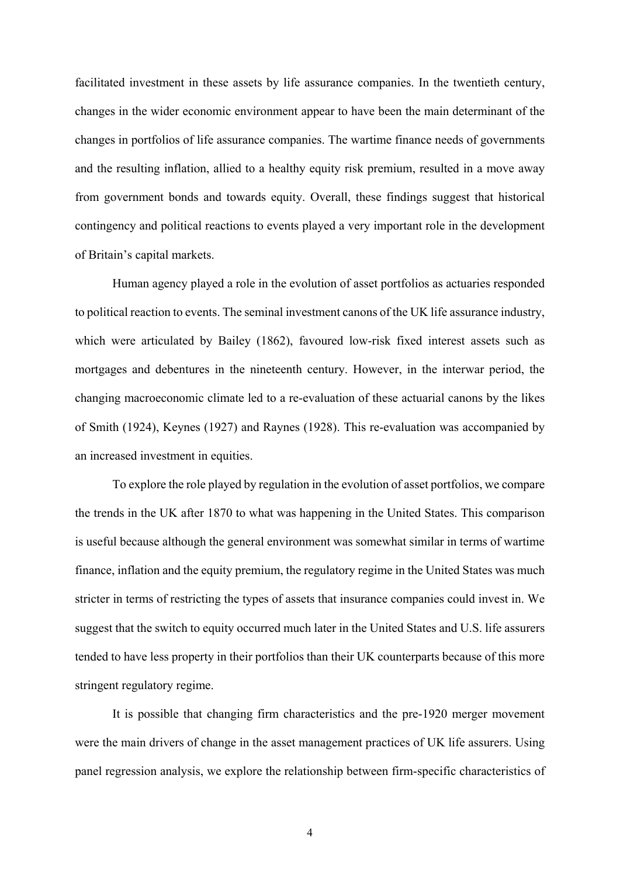facilitated investment in these assets by life assurance companies. In the twentieth century, changes in the wider economic environment appear to have been the main determinant of the changes in portfolios of life assurance companies. The wartime finance needs of governments and the resulting inflation, allied to a healthy equity risk premium, resulted in a move away from government bonds and towards equity. Overall, these findings suggest that historical contingency and political reactions to events played a very important role in the development of Britain's capital markets.

Human agency played a role in the evolution of asset portfolios as actuaries responded to political reaction to events. The seminal investment canons of the UK life assurance industry, which were articulated by Bailey (1862), favoured low-risk fixed interest assets such as mortgages and debentures in the nineteenth century. However, in the interwar period, the changing macroeconomic climate led to a re-evaluation of these actuarial canons by the likes of Smith (1924), Keynes (1927) and Raynes (1928). This re-evaluation was accompanied by an increased investment in equities.

To explore the role played by regulation in the evolution of asset portfolios, we compare the trends in the UK after 1870 to what was happening in the United States. This comparison is useful because although the general environment was somewhat similar in terms of wartime finance, inflation and the equity premium, the regulatory regime in the United States was much stricter in terms of restricting the types of assets that insurance companies could invest in. We suggest that the switch to equity occurred much later in the United States and U.S. life assurers tended to have less property in their portfolios than their UK counterparts because of this more stringent regulatory regime.

It is possible that changing firm characteristics and the pre-1920 merger movement were the main drivers of change in the asset management practices of UK life assurers. Using panel regression analysis, we explore the relationship between firm-specific characteristics of

4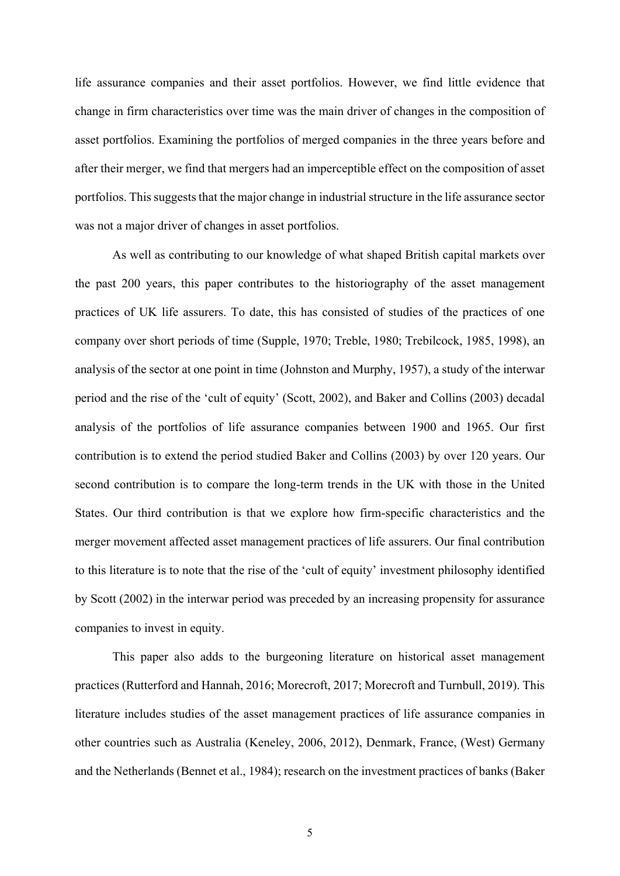life assurance companies and their asset portfolios. However, we find little evidence that change in firm characteristics over time was the main driver of changes in the composition of asset portfolios. Examining the portfolios of merged companies in the three years before and after their merger, we find that mergers had an imperceptible effect on the composition of asset portfolios. This suggests that the major change in industrial structure in the life assurance sector was not a major driver of changes in asset portfolios.

As well as contributing to our knowledge of what shaped British capital markets over the past 200 years, this paper contributes to the historiography of the asset management practices of UK life assurers. To date, this has consisted of studies of the practices of one company over short periods of time (Supple, 1970; Treble, 1980; Trebilcock, 1985, 1998), an analysis of the sector at one point in time (Johnston and Murphy, 1957), a study of the interwar period and the rise of the 'cult of equity' (Scott, 2002), and Baker and Collins (2003) decadal analysis of the portfolios of life assurance companies between 1900 and 1965. Our first contribution is to extend the period studied Baker and Collins (2003) by over 120 years. Our second contribution is to compare the long-term trends in the UK with those in the United States. Our third contribution is that we explore how firm-specific characteristics and the merger movement affected asset management practices of life assurers. Our final contribution to this literature is to note that the rise of the 'cult of equity' investment philosophy identified by Scott (2002) in the interwar period was preceded by an increasing propensity for assurance companies to invest in equity.

This paper also adds to the burgeoning literature on historical asset management practices (Rutterford and Hannah, 2016; Morecroft, 2017; Morecroft and Turnbull, 2019). This literature includes studies of the asset management practices of life assurance companies in other countries such as Australia (Keneley, 2006, 2012), Denmark, France, (West) Germany and the Netherlands (Bennet et al., 1984); research on the investment practices of banks (Baker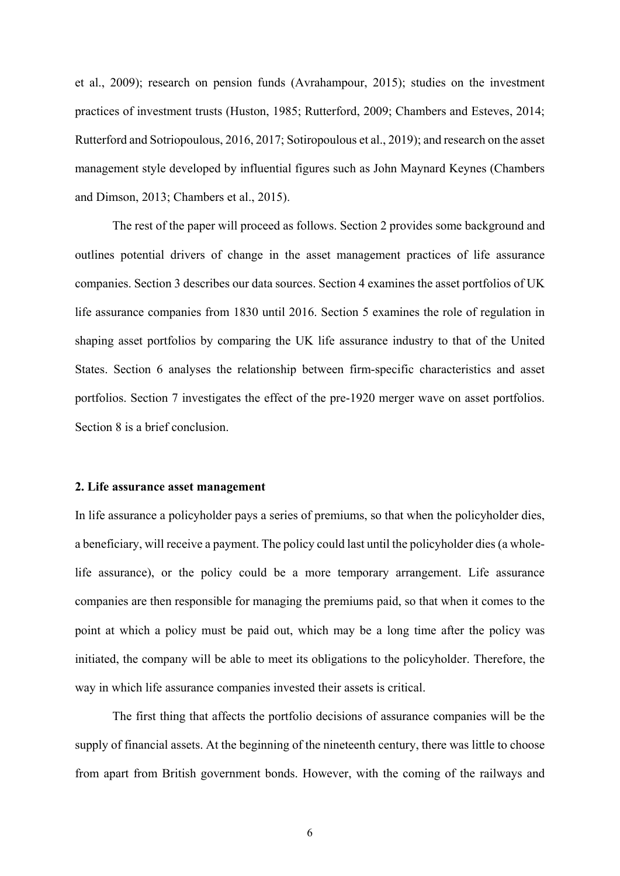et al., 2009); research on pension funds (Avrahampour, 2015); studies on the investment practices of investment trusts (Huston, 1985; Rutterford, 2009; Chambers and Esteves, 2014; Rutterford and Sotriopoulous, 2016, 2017; Sotiropoulous et al., 2019); and research on the asset management style developed by influential figures such as John Maynard Keynes (Chambers and Dimson, 2013; Chambers et al., 2015).

The rest of the paper will proceed as follows. Section 2 provides some background and outlines potential drivers of change in the asset management practices of life assurance companies. Section 3 describes our data sources. Section 4 examines the asset portfolios of UK life assurance companies from 1830 until 2016. Section 5 examines the role of regulation in shaping asset portfolios by comparing the UK life assurance industry to that of the United States. Section 6 analyses the relationship between firm-specific characteristics and asset portfolios. Section 7 investigates the effect of the pre-1920 merger wave on asset portfolios. Section 8 is a brief conclusion.

#### **2. Life assurance asset management**

In life assurance a policyholder pays a series of premiums, so that when the policyholder dies, a beneficiary, will receive a payment. The policy could last until the policyholder dies (a wholelife assurance), or the policy could be a more temporary arrangement. Life assurance companies are then responsible for managing the premiums paid, so that when it comes to the point at which a policy must be paid out, which may be a long time after the policy was initiated, the company will be able to meet its obligations to the policyholder. Therefore, the way in which life assurance companies invested their assets is critical.

The first thing that affects the portfolio decisions of assurance companies will be the supply of financial assets. At the beginning of the nineteenth century, there was little to choose from apart from British government bonds. However, with the coming of the railways and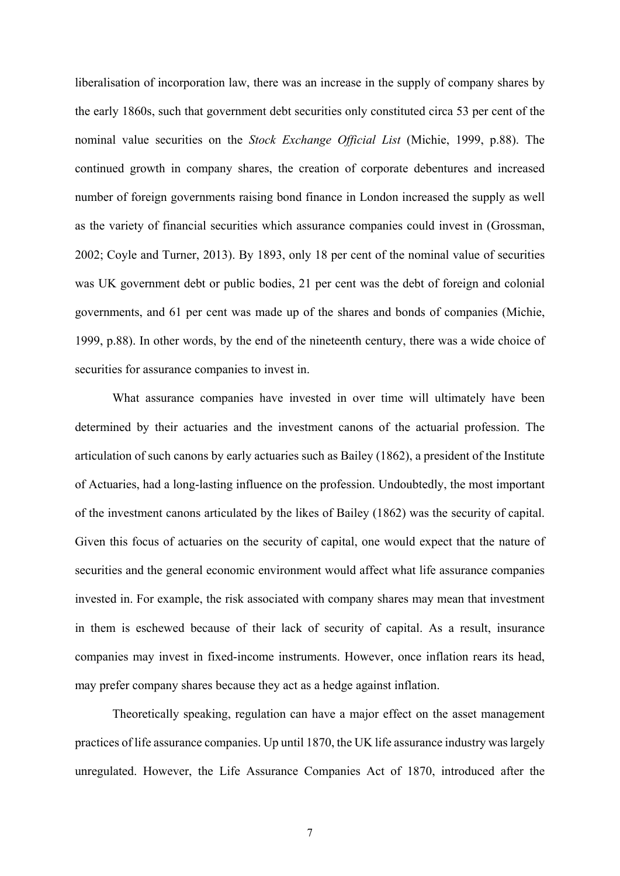liberalisation of incorporation law, there was an increase in the supply of company shares by the early 1860s, such that government debt securities only constituted circa 53 per cent of the nominal value securities on the *Stock Exchange Official List* (Michie, 1999, p.88). The continued growth in company shares, the creation of corporate debentures and increased number of foreign governments raising bond finance in London increased the supply as well as the variety of financial securities which assurance companies could invest in (Grossman, 2002; Coyle and Turner, 2013). By 1893, only 18 per cent of the nominal value of securities was UK government debt or public bodies, 21 per cent was the debt of foreign and colonial governments, and 61 per cent was made up of the shares and bonds of companies (Michie, 1999, p.88). In other words, by the end of the nineteenth century, there was a wide choice of securities for assurance companies to invest in.

What assurance companies have invested in over time will ultimately have been determined by their actuaries and the investment canons of the actuarial profession. The articulation of such canons by early actuaries such as Bailey (1862), a president of the Institute of Actuaries, had a long-lasting influence on the profession. Undoubtedly, the most important of the investment canons articulated by the likes of Bailey (1862) was the security of capital. Given this focus of actuaries on the security of capital, one would expect that the nature of securities and the general economic environment would affect what life assurance companies invested in. For example, the risk associated with company shares may mean that investment in them is eschewed because of their lack of security of capital. As a result, insurance companies may invest in fixed-income instruments. However, once inflation rears its head, may prefer company shares because they act as a hedge against inflation.

Theoretically speaking, regulation can have a major effect on the asset management practices of life assurance companies. Up until 1870, the UK life assurance industry was largely unregulated. However, the Life Assurance Companies Act of 1870, introduced after the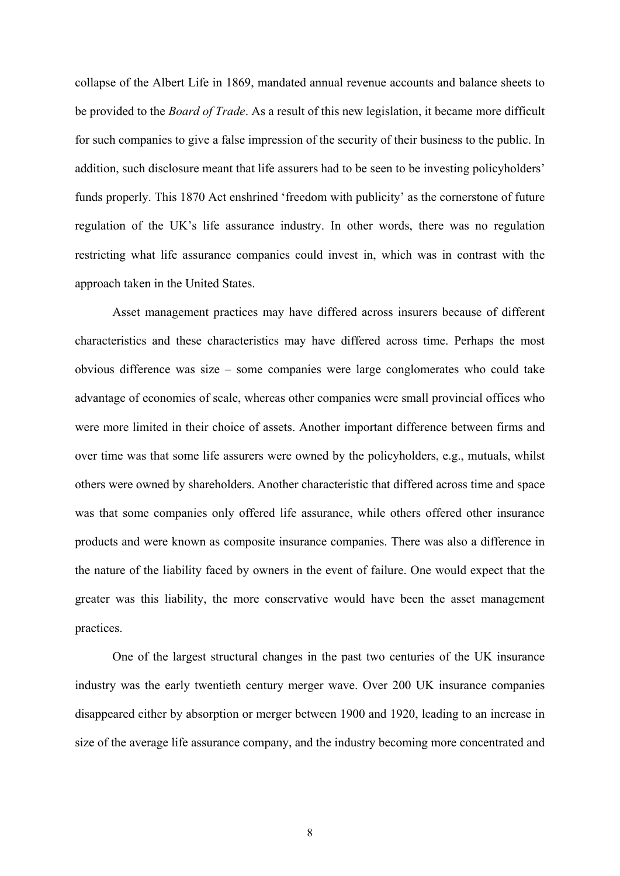collapse of the Albert Life in 1869, mandated annual revenue accounts and balance sheets to be provided to the *Board of Trade*. As a result of this new legislation, it became more difficult for such companies to give a false impression of the security of their business to the public. In addition, such disclosure meant that life assurers had to be seen to be investing policyholders' funds properly. This 1870 Act enshrined 'freedom with publicity' as the cornerstone of future regulation of the UK's life assurance industry. In other words, there was no regulation restricting what life assurance companies could invest in, which was in contrast with the approach taken in the United States.

Asset management practices may have differed across insurers because of different characteristics and these characteristics may have differed across time. Perhaps the most obvious difference was size – some companies were large conglomerates who could take advantage of economies of scale, whereas other companies were small provincial offices who were more limited in their choice of assets. Another important difference between firms and over time was that some life assurers were owned by the policyholders, e.g., mutuals, whilst others were owned by shareholders. Another characteristic that differed across time and space was that some companies only offered life assurance, while others offered other insurance products and were known as composite insurance companies. There was also a difference in the nature of the liability faced by owners in the event of failure. One would expect that the greater was this liability, the more conservative would have been the asset management practices.

One of the largest structural changes in the past two centuries of the UK insurance industry was the early twentieth century merger wave. Over 200 UK insurance companies disappeared either by absorption or merger between 1900 and 1920, leading to an increase in size of the average life assurance company, and the industry becoming more concentrated and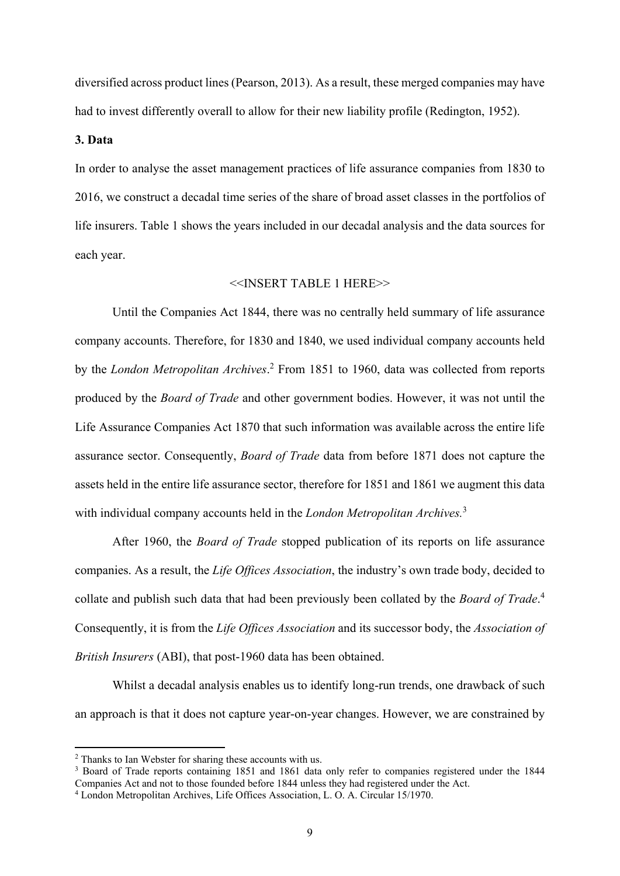diversified across product lines (Pearson, 2013). As a result, these merged companies may have had to invest differently overall to allow for their new liability profile (Redington, 1952).

#### **3. Data**

In order to analyse the asset management practices of life assurance companies from 1830 to 2016, we construct a decadal time series of the share of broad asset classes in the portfolios of life insurers. Table 1 shows the years included in our decadal analysis and the data sources for each year.

## <<INSERT TABLE 1 HERE>>

Until the Companies Act 1844, there was no centrally held summary of life assurance company accounts. Therefore, for 1830 and 1840, we used individual company accounts held by the *London Metropolitan Archives*. 2 From 1851 to 1960, data was collected from reports produced by the *Board of Trade* and other government bodies. However, it was not until the Life Assurance Companies Act 1870 that such information was available across the entire life assurance sector. Consequently, *Board of Trade* data from before 1871 does not capture the assets held in the entire life assurance sector, therefore for 1851 and 1861 we augment this data with individual company accounts held in the *London Metropolitan Archives.*<sup>3</sup>

After 1960, the *Board of Trade* stopped publication of its reports on life assurance companies. As a result, the *Life Offices Association*, the industry's own trade body, decided to collate and publish such data that had been previously been collated by the *Board of Trade*. 4 Consequently, it is from the *Life Offices Association* and its successor body, the *Association of British Insurers* (ABI), that post-1960 data has been obtained.

Whilst a decadal analysis enables us to identify long-run trends, one drawback of such an approach is that it does not capture year-on-year changes. However, we are constrained by

**.** 

<sup>&</sup>lt;sup>2</sup> Thanks to Ian Webster for sharing these accounts with us.

<sup>&</sup>lt;sup>3</sup> Board of Trade reports containing 1851 and 1861 data only refer to companies registered under the 1844 Companies Act and not to those founded before 1844 unless they had registered under the Act.

<sup>4</sup> London Metropolitan Archives, Life Offices Association, L. O. A. Circular 15/1970.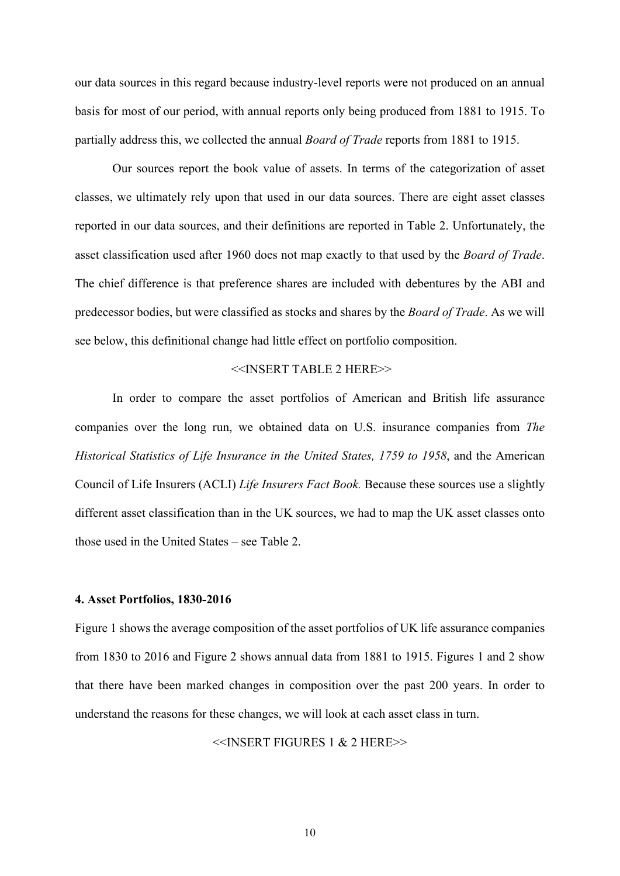our data sources in this regard because industry-level reports were not produced on an annual basis for most of our period, with annual reports only being produced from 1881 to 1915. To partially address this, we collected the annual *Board of Trade* reports from 1881 to 1915.

Our sources report the book value of assets. In terms of the categorization of asset classes, we ultimately rely upon that used in our data sources. There are eight asset classes reported in our data sources, and their definitions are reported in Table 2. Unfortunately, the asset classification used after 1960 does not map exactly to that used by the *Board of Trade*. The chief difference is that preference shares are included with debentures by the ABI and predecessor bodies, but were classified as stocks and shares by the *Board of Trade*. As we will see below, this definitional change had little effect on portfolio composition.

# <<INSERT TABLE 2 HERE>>

In order to compare the asset portfolios of American and British life assurance companies over the long run, we obtained data on U.S. insurance companies from *The Historical Statistics of Life Insurance in the United States, 1759 to 1958*, and the American Council of Life Insurers (ACLI) *Life Insurers Fact Book.* Because these sources use a slightly different asset classification than in the UK sources, we had to map the UK asset classes onto those used in the United States – see Table 2.

#### **4. Asset Portfolios, 1830-2016**

Figure 1 shows the average composition of the asset portfolios of UK life assurance companies from 1830 to 2016 and Figure 2 shows annual data from 1881 to 1915. Figures 1 and 2 show that there have been marked changes in composition over the past 200 years. In order to understand the reasons for these changes, we will look at each asset class in turn.

<<INSERT FIGURES 1 & 2 HERE>>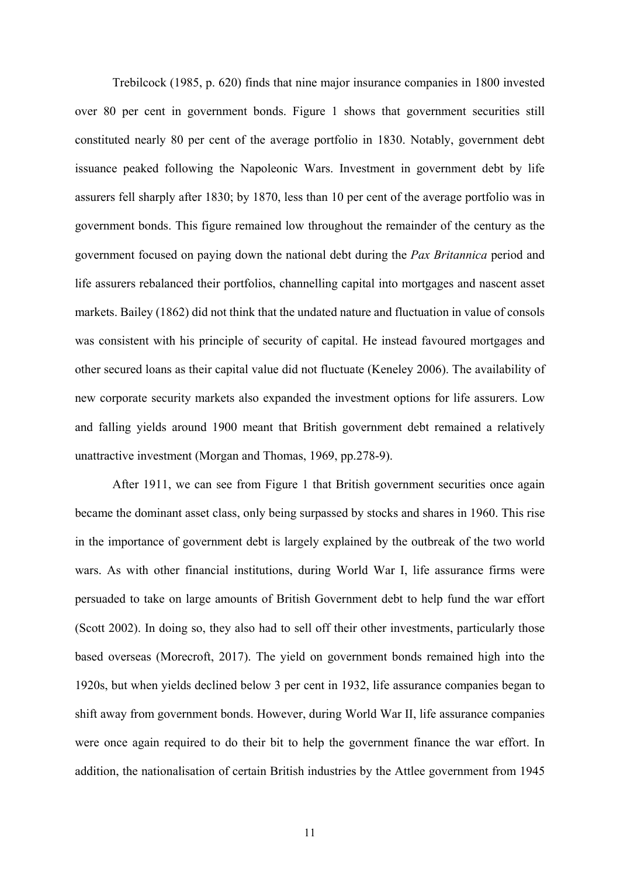Trebilcock (1985, p. 620) finds that nine major insurance companies in 1800 invested over 80 per cent in government bonds. Figure 1 shows that government securities still constituted nearly 80 per cent of the average portfolio in 1830. Notably, government debt issuance peaked following the Napoleonic Wars. Investment in government debt by life assurers fell sharply after 1830; by 1870, less than 10 per cent of the average portfolio was in government bonds. This figure remained low throughout the remainder of the century as the government focused on paying down the national debt during the *Pax Britannica* period and life assurers rebalanced their portfolios, channelling capital into mortgages and nascent asset markets. Bailey (1862) did not think that the undated nature and fluctuation in value of consols was consistent with his principle of security of capital. He instead favoured mortgages and other secured loans as their capital value did not fluctuate (Keneley 2006). The availability of new corporate security markets also expanded the investment options for life assurers. Low and falling yields around 1900 meant that British government debt remained a relatively unattractive investment (Morgan and Thomas, 1969, pp.278-9).

After 1911, we can see from Figure 1 that British government securities once again became the dominant asset class, only being surpassed by stocks and shares in 1960. This rise in the importance of government debt is largely explained by the outbreak of the two world wars. As with other financial institutions, during World War I, life assurance firms were persuaded to take on large amounts of British Government debt to help fund the war effort (Scott 2002). In doing so, they also had to sell off their other investments, particularly those based overseas (Morecroft, 2017). The yield on government bonds remained high into the 1920s, but when yields declined below 3 per cent in 1932, life assurance companies began to shift away from government bonds. However, during World War II, life assurance companies were once again required to do their bit to help the government finance the war effort. In addition, the nationalisation of certain British industries by the Attlee government from 1945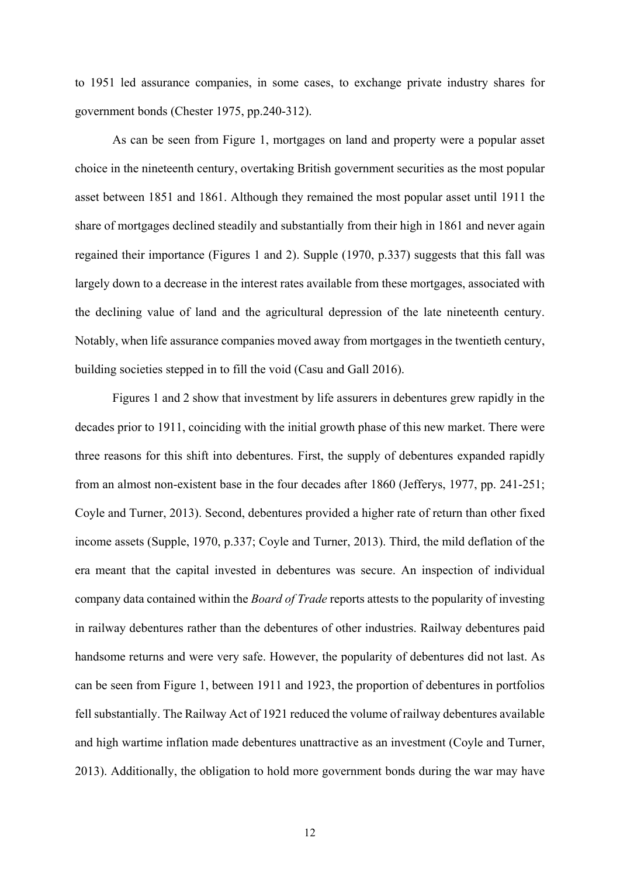to 1951 led assurance companies, in some cases, to exchange private industry shares for government bonds (Chester 1975, pp.240-312).

As can be seen from Figure 1, mortgages on land and property were a popular asset choice in the nineteenth century, overtaking British government securities as the most popular asset between 1851 and 1861. Although they remained the most popular asset until 1911 the share of mortgages declined steadily and substantially from their high in 1861 and never again regained their importance (Figures 1 and 2). Supple (1970, p.337) suggests that this fall was largely down to a decrease in the interest rates available from these mortgages, associated with the declining value of land and the agricultural depression of the late nineteenth century. Notably, when life assurance companies moved away from mortgages in the twentieth century, building societies stepped in to fill the void (Casu and Gall 2016).

Figures 1 and 2 show that investment by life assurers in debentures grew rapidly in the decades prior to 1911, coinciding with the initial growth phase of this new market. There were three reasons for this shift into debentures. First, the supply of debentures expanded rapidly from an almost non-existent base in the four decades after 1860 (Jefferys, 1977, pp. 241-251; Coyle and Turner, 2013). Second, debentures provided a higher rate of return than other fixed income assets (Supple, 1970, p.337; Coyle and Turner, 2013). Third, the mild deflation of the era meant that the capital invested in debentures was secure. An inspection of individual company data contained within the *Board of Trade* reports attests to the popularity of investing in railway debentures rather than the debentures of other industries. Railway debentures paid handsome returns and were very safe. However, the popularity of debentures did not last. As can be seen from Figure 1, between 1911 and 1923, the proportion of debentures in portfolios fell substantially. The Railway Act of 1921 reduced the volume of railway debentures available and high wartime inflation made debentures unattractive as an investment (Coyle and Turner, 2013). Additionally, the obligation to hold more government bonds during the war may have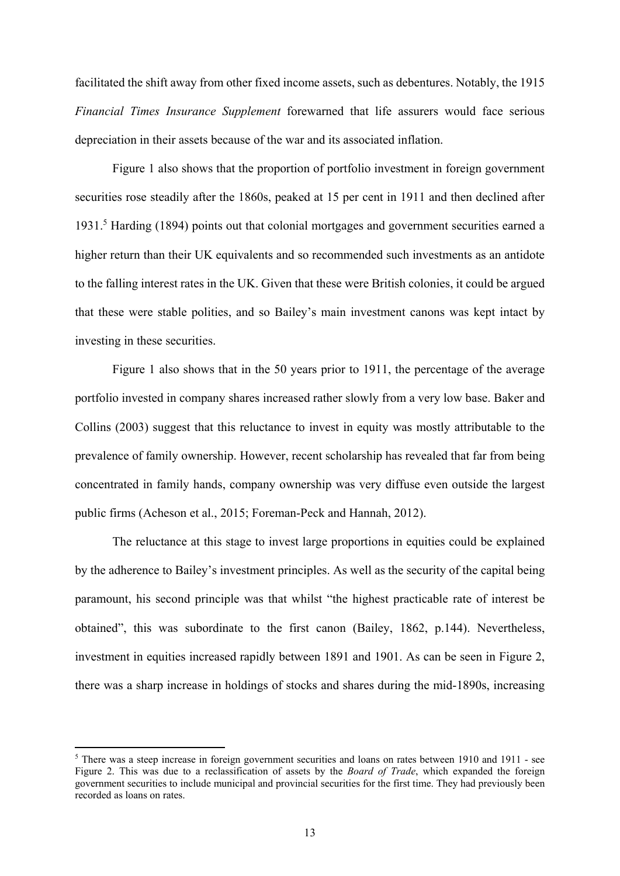facilitated the shift away from other fixed income assets, such as debentures. Notably, the 1915 *Financial Times Insurance Supplement* forewarned that life assurers would face serious depreciation in their assets because of the war and its associated inflation.

Figure 1 also shows that the proportion of portfolio investment in foreign government securities rose steadily after the 1860s, peaked at 15 per cent in 1911 and then declined after 1931.<sup>5</sup> Harding (1894) points out that colonial mortgages and government securities earned a higher return than their UK equivalents and so recommended such investments as an antidote to the falling interest rates in the UK. Given that these were British colonies, it could be argued that these were stable polities, and so Bailey's main investment canons was kept intact by investing in these securities.

Figure 1 also shows that in the 50 years prior to 1911, the percentage of the average portfolio invested in company shares increased rather slowly from a very low base. Baker and Collins (2003) suggest that this reluctance to invest in equity was mostly attributable to the prevalence of family ownership. However, recent scholarship has revealed that far from being concentrated in family hands, company ownership was very diffuse even outside the largest public firms (Acheson et al., 2015; Foreman-Peck and Hannah, 2012).

The reluctance at this stage to invest large proportions in equities could be explained by the adherence to Bailey's investment principles. As well as the security of the capital being paramount, his second principle was that whilst "the highest practicable rate of interest be obtained", this was subordinate to the first canon (Bailey, 1862, p.144). Nevertheless, investment in equities increased rapidly between 1891 and 1901. As can be seen in Figure 2, there was a sharp increase in holdings of stocks and shares during the mid-1890s, increasing

**.** 

<sup>&</sup>lt;sup>5</sup> There was a steep increase in foreign government securities and loans on rates between 1910 and 1911 - see Figure 2. This was due to a reclassification of assets by the *Board of Trade*, which expanded the foreign government securities to include municipal and provincial securities for the first time. They had previously been recorded as loans on rates.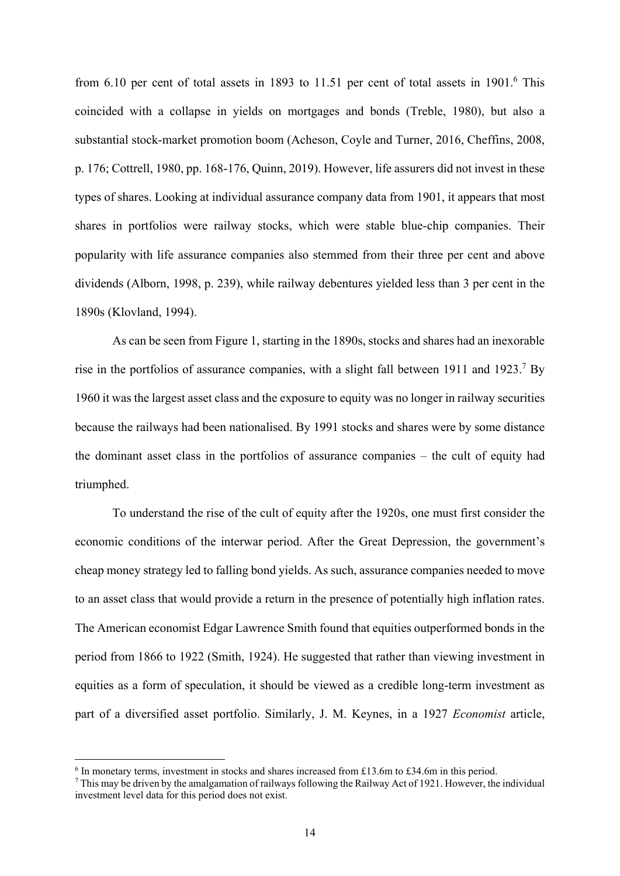from  $6.10$  per cent of total assets in 1893 to 11.51 per cent of total assets in 1901.<sup>6</sup> This coincided with a collapse in yields on mortgages and bonds (Treble, 1980), but also a substantial stock-market promotion boom (Acheson, Coyle and Turner, 2016, Cheffins, 2008, p. 176; Cottrell, 1980, pp. 168-176, Quinn, 2019). However, life assurers did not invest in these types of shares. Looking at individual assurance company data from 1901, it appears that most shares in portfolios were railway stocks, which were stable blue-chip companies. Their popularity with life assurance companies also stemmed from their three per cent and above dividends (Alborn, 1998, p. 239), while railway debentures yielded less than 3 per cent in the 1890s (Klovland, 1994).

As can be seen from Figure 1, starting in the 1890s, stocks and shares had an inexorable rise in the portfolios of assurance companies, with a slight fall between 1911 and 1923.<sup>7</sup> By 1960 it was the largest asset class and the exposure to equity was no longer in railway securities because the railways had been nationalised. By 1991 stocks and shares were by some distance the dominant asset class in the portfolios of assurance companies – the cult of equity had triumphed.

To understand the rise of the cult of equity after the 1920s, one must first consider the economic conditions of the interwar period. After the Great Depression, the government's cheap money strategy led to falling bond yields. As such, assurance companies needed to move to an asset class that would provide a return in the presence of potentially high inflation rates. The American economist Edgar Lawrence Smith found that equities outperformed bonds in the period from 1866 to 1922 (Smith, 1924). He suggested that rather than viewing investment in equities as a form of speculation, it should be viewed as a credible long-term investment as part of a diversified asset portfolio. Similarly, J. M. Keynes, in a 1927 *Economist* article,

1

<sup>&</sup>lt;sup>6</sup> In monetary terms, investment in stocks and shares increased from £13.6m to £34.6m in this period.

 $7$  This may be driven by the amalgamation of railways following the Railway Act of 1921. However, the individual investment level data for this period does not exist.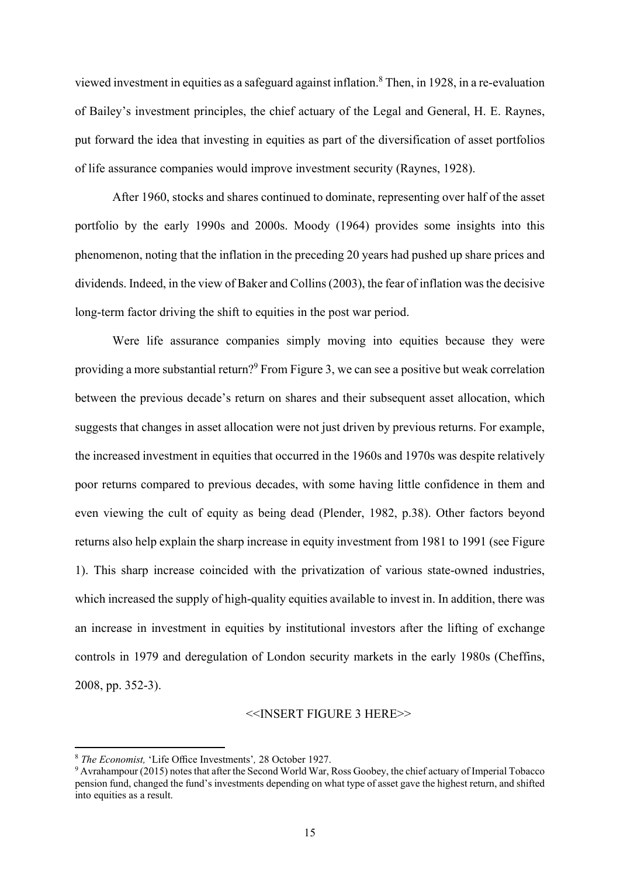viewed investment in equities as a safeguard against inflation.<sup>8</sup> Then, in 1928, in a re-evaluation of Bailey's investment principles, the chief actuary of the Legal and General, H. E. Raynes, put forward the idea that investing in equities as part of the diversification of asset portfolios of life assurance companies would improve investment security (Raynes, 1928).

After 1960, stocks and shares continued to dominate, representing over half of the asset portfolio by the early 1990s and 2000s. Moody (1964) provides some insights into this phenomenon, noting that the inflation in the preceding 20 years had pushed up share prices and dividends. Indeed, in the view of Baker and Collins (2003), the fear of inflation was the decisive long-term factor driving the shift to equities in the post war period.

Were life assurance companies simply moving into equities because they were providing a more substantial return?<sup>9</sup> From Figure 3, we can see a positive but weak correlation between the previous decade's return on shares and their subsequent asset allocation, which suggests that changes in asset allocation were not just driven by previous returns. For example, the increased investment in equities that occurred in the 1960s and 1970s was despite relatively poor returns compared to previous decades, with some having little confidence in them and even viewing the cult of equity as being dead (Plender, 1982, p.38). Other factors beyond returns also help explain the sharp increase in equity investment from 1981 to 1991 (see Figure 1). This sharp increase coincided with the privatization of various state-owned industries, which increased the supply of high-quality equities available to invest in. In addition, there was an increase in investment in equities by institutional investors after the lifting of exchange controls in 1979 and deregulation of London security markets in the early 1980s (Cheffins, 2008, pp. 352-3).

## <<INSERT FIGURE 3 HERE>>

**.** 

<sup>8</sup> *The Economist,* 'Life Office Investments'*,* 28 October 1927. 9

Avrahampour (2015) notes that after the Second World War, Ross Goobey, the chief actuary of Imperial Tobacco pension fund, changed the fund's investments depending on what type of asset gave the highest return, and shifted into equities as a result.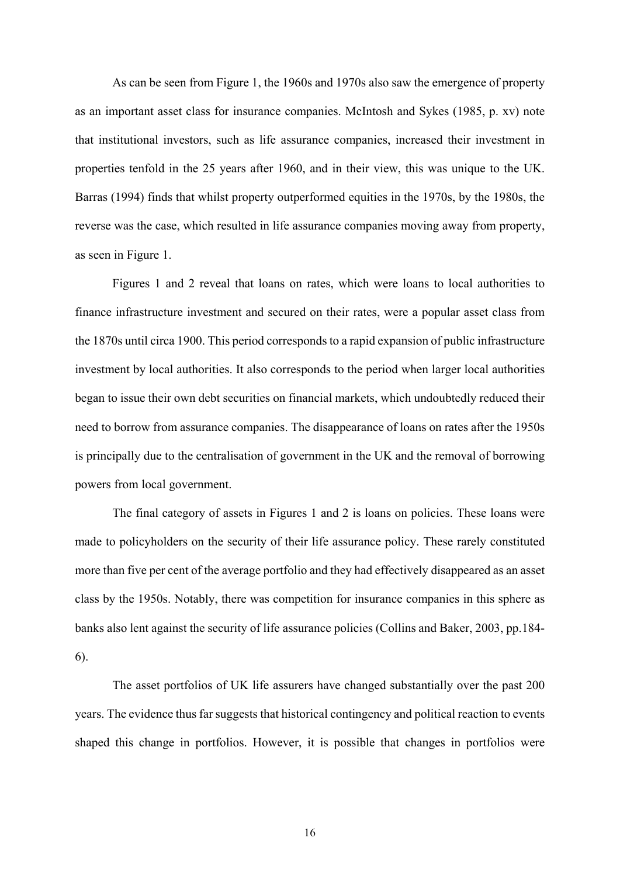As can be seen from Figure 1, the 1960s and 1970s also saw the emergence of property as an important asset class for insurance companies. McIntosh and Sykes (1985, p. xv) note that institutional investors, such as life assurance companies, increased their investment in properties tenfold in the 25 years after 1960, and in their view, this was unique to the UK. Barras (1994) finds that whilst property outperformed equities in the 1970s, by the 1980s, the reverse was the case, which resulted in life assurance companies moving away from property, as seen in Figure 1.

Figures 1 and 2 reveal that loans on rates, which were loans to local authorities to finance infrastructure investment and secured on their rates, were a popular asset class from the 1870s until circa 1900. This period corresponds to a rapid expansion of public infrastructure investment by local authorities. It also corresponds to the period when larger local authorities began to issue their own debt securities on financial markets, which undoubtedly reduced their need to borrow from assurance companies. The disappearance of loans on rates after the 1950s is principally due to the centralisation of government in the UK and the removal of borrowing powers from local government.

The final category of assets in Figures 1 and 2 is loans on policies. These loans were made to policyholders on the security of their life assurance policy. These rarely constituted more than five per cent of the average portfolio and they had effectively disappeared as an asset class by the 1950s. Notably, there was competition for insurance companies in this sphere as banks also lent against the security of life assurance policies (Collins and Baker, 2003, pp.184- 6).

The asset portfolios of UK life assurers have changed substantially over the past 200 years. The evidence thus far suggests that historical contingency and political reaction to events shaped this change in portfolios. However, it is possible that changes in portfolios were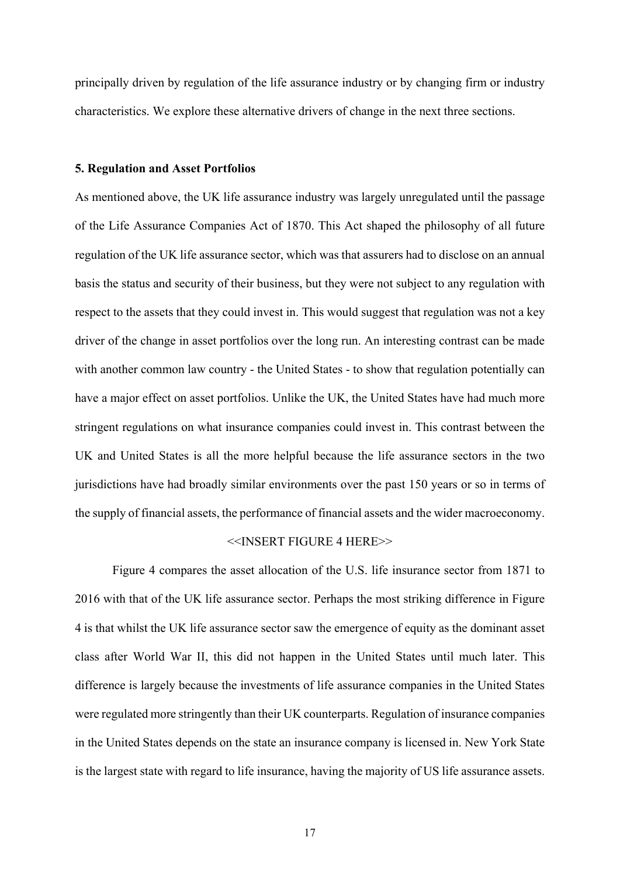principally driven by regulation of the life assurance industry or by changing firm or industry characteristics. We explore these alternative drivers of change in the next three sections.

#### **5. Regulation and Asset Portfolios**

As mentioned above, the UK life assurance industry was largely unregulated until the passage of the Life Assurance Companies Act of 1870. This Act shaped the philosophy of all future regulation of the UK life assurance sector, which was that assurers had to disclose on an annual basis the status and security of their business, but they were not subject to any regulation with respect to the assets that they could invest in. This would suggest that regulation was not a key driver of the change in asset portfolios over the long run. An interesting contrast can be made with another common law country - the United States - to show that regulation potentially can have a major effect on asset portfolios. Unlike the UK, the United States have had much more stringent regulations on what insurance companies could invest in. This contrast between the UK and United States is all the more helpful because the life assurance sectors in the two jurisdictions have had broadly similar environments over the past 150 years or so in terms of the supply of financial assets, the performance of financial assets and the wider macroeconomy.

#### <<INSERT FIGURE 4 HERE>>

Figure 4 compares the asset allocation of the U.S. life insurance sector from 1871 to 2016 with that of the UK life assurance sector. Perhaps the most striking difference in Figure 4 is that whilst the UK life assurance sector saw the emergence of equity as the dominant asset class after World War II, this did not happen in the United States until much later. This difference is largely because the investments of life assurance companies in the United States were regulated more stringently than their UK counterparts. Regulation of insurance companies in the United States depends on the state an insurance company is licensed in. New York State is the largest state with regard to life insurance, having the majority of US life assurance assets.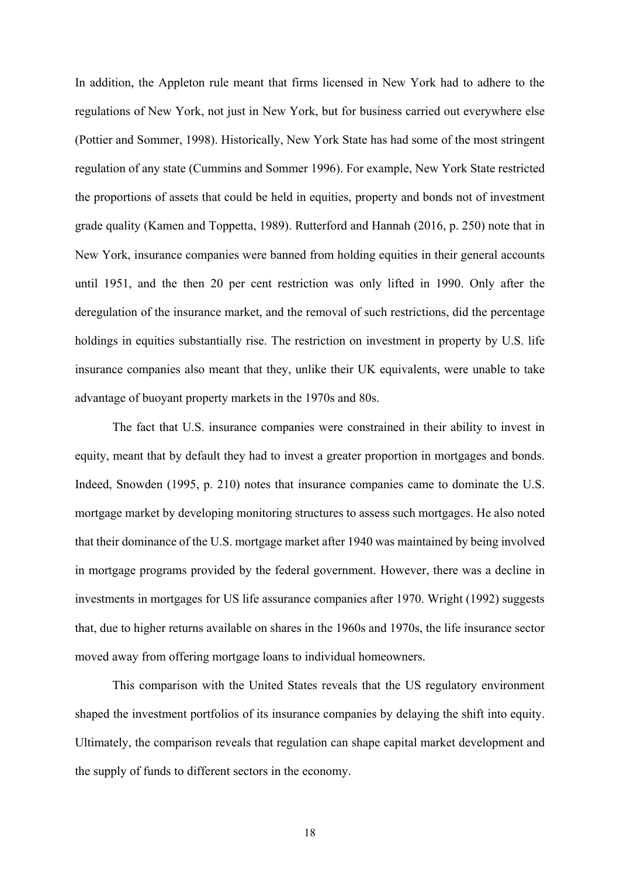In addition, the Appleton rule meant that firms licensed in New York had to adhere to the regulations of New York, not just in New York, but for business carried out everywhere else (Pottier and Sommer, 1998). Historically, New York State has had some of the most stringent regulation of any state (Cummins and Sommer 1996). For example, New York State restricted the proportions of assets that could be held in equities, property and bonds not of investment grade quality (Kamen and Toppetta, 1989). Rutterford and Hannah (2016, p. 250) note that in New York, insurance companies were banned from holding equities in their general accounts until 1951, and the then 20 per cent restriction was only lifted in 1990. Only after the deregulation of the insurance market, and the removal of such restrictions, did the percentage holdings in equities substantially rise. The restriction on investment in property by U.S. life insurance companies also meant that they, unlike their UK equivalents, were unable to take advantage of buoyant property markets in the 1970s and 80s.

The fact that U.S. insurance companies were constrained in their ability to invest in equity, meant that by default they had to invest a greater proportion in mortgages and bonds. Indeed, Snowden (1995, p. 210) notes that insurance companies came to dominate the U.S. mortgage market by developing monitoring structures to assess such mortgages. He also noted that their dominance of the U.S. mortgage market after 1940 was maintained by being involved in mortgage programs provided by the federal government. However, there was a decline in investments in mortgages for US life assurance companies after 1970. Wright (1992) suggests that, due to higher returns available on shares in the 1960s and 1970s, the life insurance sector moved away from offering mortgage loans to individual homeowners.

This comparison with the United States reveals that the US regulatory environment shaped the investment portfolios of its insurance companies by delaying the shift into equity. Ultimately, the comparison reveals that regulation can shape capital market development and the supply of funds to different sectors in the economy.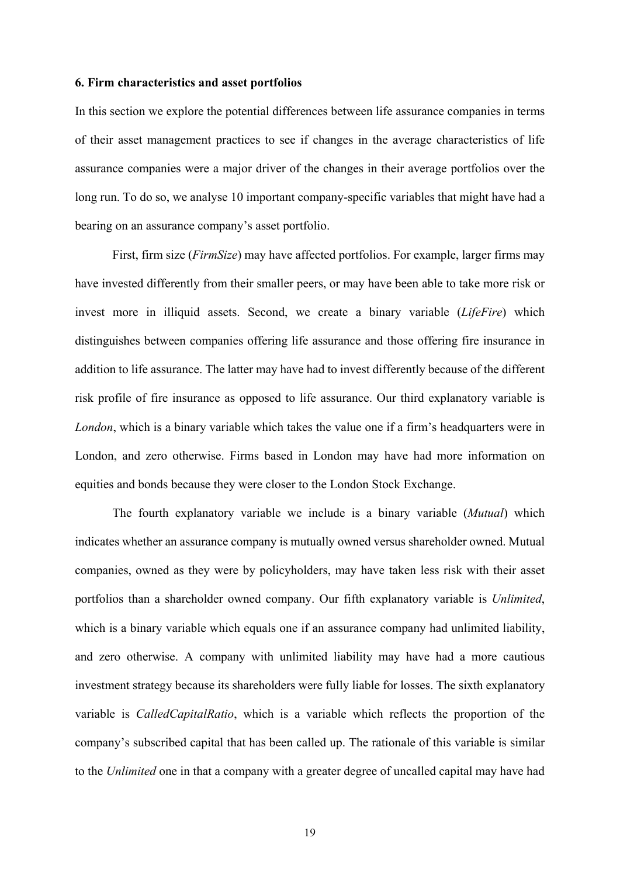#### **6. Firm characteristics and asset portfolios**

In this section we explore the potential differences between life assurance companies in terms of their asset management practices to see if changes in the average characteristics of life assurance companies were a major driver of the changes in their average portfolios over the long run. To do so, we analyse 10 important company-specific variables that might have had a bearing on an assurance company's asset portfolio.

First, firm size (*FirmSize*) may have affected portfolios. For example, larger firms may have invested differently from their smaller peers, or may have been able to take more risk or invest more in illiquid assets. Second, we create a binary variable (*LifeFire*) which distinguishes between companies offering life assurance and those offering fire insurance in addition to life assurance. The latter may have had to invest differently because of the different risk profile of fire insurance as opposed to life assurance. Our third explanatory variable is *London*, which is a binary variable which takes the value one if a firm's headquarters were in London, and zero otherwise. Firms based in London may have had more information on equities and bonds because they were closer to the London Stock Exchange.

The fourth explanatory variable we include is a binary variable (*Mutual*) which indicates whether an assurance company is mutually owned versus shareholder owned. Mutual companies, owned as they were by policyholders, may have taken less risk with their asset portfolios than a shareholder owned company. Our fifth explanatory variable is *Unlimited*, which is a binary variable which equals one if an assurance company had unlimited liability, and zero otherwise. A company with unlimited liability may have had a more cautious investment strategy because its shareholders were fully liable for losses. The sixth explanatory variable is *CalledCapitalRatio*, which is a variable which reflects the proportion of the company's subscribed capital that has been called up. The rationale of this variable is similar to the *Unlimited* one in that a company with a greater degree of uncalled capital may have had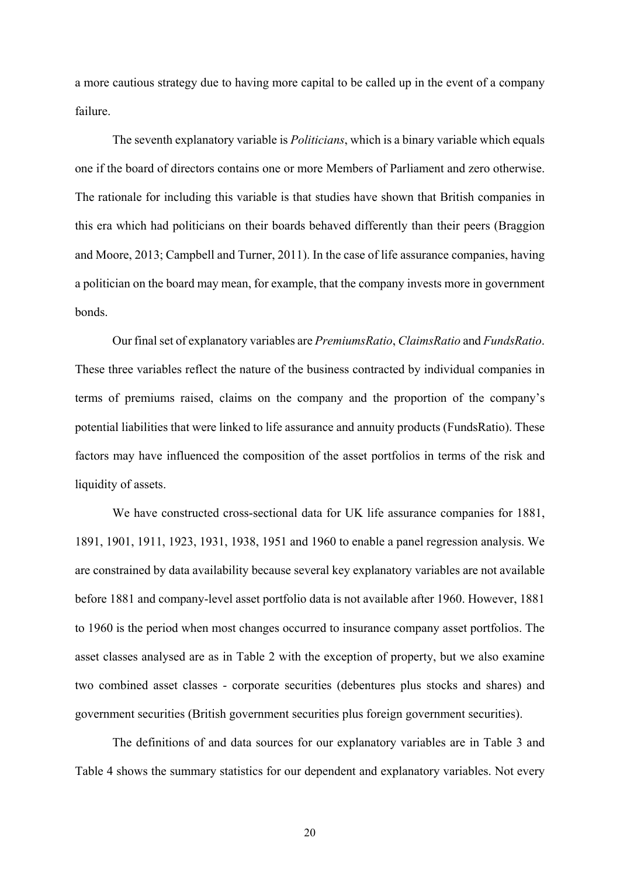a more cautious strategy due to having more capital to be called up in the event of a company failure.

The seventh explanatory variable is *Politicians*, which is a binary variable which equals one if the board of directors contains one or more Members of Parliament and zero otherwise. The rationale for including this variable is that studies have shown that British companies in this era which had politicians on their boards behaved differently than their peers (Braggion and Moore, 2013; Campbell and Turner, 2011). In the case of life assurance companies, having a politician on the board may mean, for example, that the company invests more in government bonds.

Our final set of explanatory variables are *PremiumsRatio*, *ClaimsRatio* and *FundsRatio*. These three variables reflect the nature of the business contracted by individual companies in terms of premiums raised, claims on the company and the proportion of the company's potential liabilities that were linked to life assurance and annuity products (FundsRatio). These factors may have influenced the composition of the asset portfolios in terms of the risk and liquidity of assets.

We have constructed cross-sectional data for UK life assurance companies for 1881, 1891, 1901, 1911, 1923, 1931, 1938, 1951 and 1960 to enable a panel regression analysis. We are constrained by data availability because several key explanatory variables are not available before 1881 and company-level asset portfolio data is not available after 1960. However, 1881 to 1960 is the period when most changes occurred to insurance company asset portfolios. The asset classes analysed are as in Table 2 with the exception of property, but we also examine two combined asset classes - corporate securities (debentures plus stocks and shares) and government securities (British government securities plus foreign government securities).

The definitions of and data sources for our explanatory variables are in Table 3 and Table 4 shows the summary statistics for our dependent and explanatory variables. Not every

20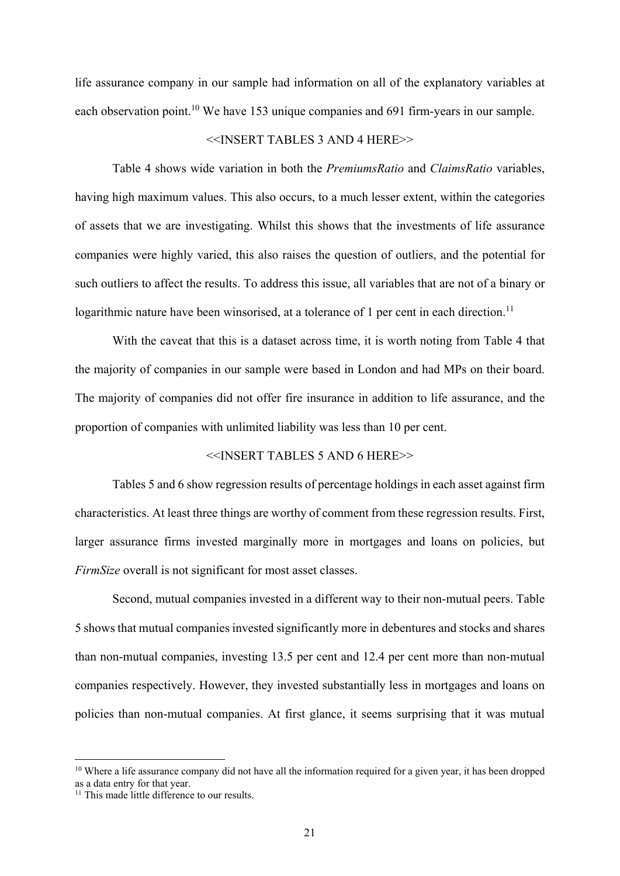life assurance company in our sample had information on all of the explanatory variables at each observation point.<sup>10</sup> We have 153 unique companies and 691 firm-years in our sample.

# <<INSERT TABLES 3 AND 4 HERE>>

Table 4 shows wide variation in both the *PremiumsRatio* and *ClaimsRatio* variables, having high maximum values. This also occurs, to a much lesser extent, within the categories of assets that we are investigating. Whilst this shows that the investments of life assurance companies were highly varied, this also raises the question of outliers, and the potential for such outliers to affect the results. To address this issue, all variables that are not of a binary or logarithmic nature have been winsorised, at a tolerance of 1 per cent in each direction.<sup>11</sup>

With the caveat that this is a dataset across time, it is worth noting from Table 4 that the majority of companies in our sample were based in London and had MPs on their board. The majority of companies did not offer fire insurance in addition to life assurance, and the proportion of companies with unlimited liability was less than 10 per cent.

# <<INSERT TABLES 5 AND 6 HERE>>

Tables 5 and 6 show regression results of percentage holdings in each asset against firm characteristics. At least three things are worthy of comment from these regression results. First, larger assurance firms invested marginally more in mortgages and loans on policies, but *FirmSize* overall is not significant for most asset classes.

Second, mutual companies invested in a different way to their non-mutual peers. Table 5 shows that mutual companies invested significantly more in debentures and stocks and shares than non-mutual companies, investing 13.5 per cent and 12.4 per cent more than non-mutual companies respectively. However, they invested substantially less in mortgages and loans on policies than non-mutual companies. At first glance, it seems surprising that it was mutual

1

 $10$  Where a life assurance company did not have all the information required for a given year, it has been dropped as a data entry for that year.

<sup>&</sup>lt;sup>11</sup> This made little difference to our results.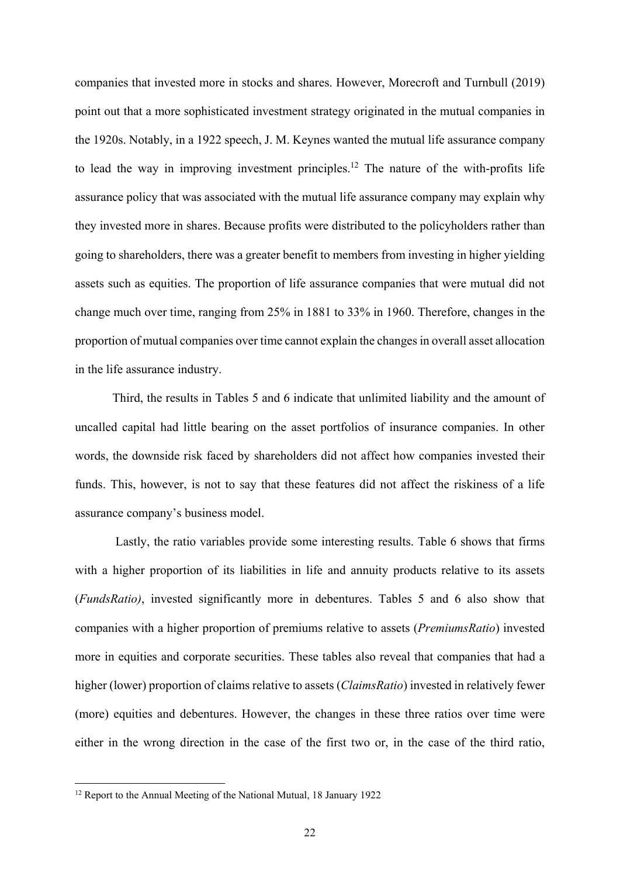companies that invested more in stocks and shares. However, Morecroft and Turnbull (2019) point out that a more sophisticated investment strategy originated in the mutual companies in the 1920s. Notably, in a 1922 speech, J. M. Keynes wanted the mutual life assurance company to lead the way in improving investment principles.<sup>12</sup> The nature of the with-profits life assurance policy that was associated with the mutual life assurance company may explain why they invested more in shares. Because profits were distributed to the policyholders rather than going to shareholders, there was a greater benefit to members from investing in higher yielding assets such as equities. The proportion of life assurance companies that were mutual did not change much over time, ranging from 25% in 1881 to 33% in 1960. Therefore, changes in the proportion of mutual companies over time cannot explain the changes in overall asset allocation in the life assurance industry.

Third, the results in Tables 5 and 6 indicate that unlimited liability and the amount of uncalled capital had little bearing on the asset portfolios of insurance companies. In other words, the downside risk faced by shareholders did not affect how companies invested their funds. This, however, is not to say that these features did not affect the riskiness of a life assurance company's business model.

 Lastly, the ratio variables provide some interesting results. Table 6 shows that firms with a higher proportion of its liabilities in life and annuity products relative to its assets (*FundsRatio)*, invested significantly more in debentures. Tables 5 and 6 also show that companies with a higher proportion of premiums relative to assets (*PremiumsRatio*) invested more in equities and corporate securities. These tables also reveal that companies that had a higher (lower) proportion of claims relative to assets (*ClaimsRatio*) invested in relatively fewer (more) equities and debentures. However, the changes in these three ratios over time were either in the wrong direction in the case of the first two or, in the case of the third ratio,

**.** 

<sup>&</sup>lt;sup>12</sup> Report to the Annual Meeting of the National Mutual, 18 January 1922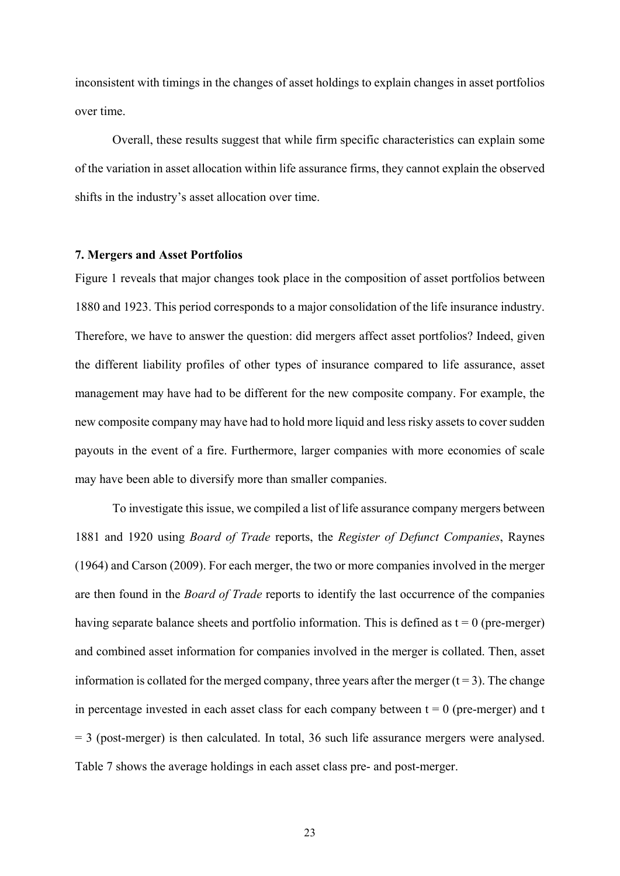inconsistent with timings in the changes of asset holdings to explain changes in asset portfolios over time.

Overall, these results suggest that while firm specific characteristics can explain some of the variation in asset allocation within life assurance firms, they cannot explain the observed shifts in the industry's asset allocation over time.

#### **7. Mergers and Asset Portfolios**

Figure 1 reveals that major changes took place in the composition of asset portfolios between 1880 and 1923. This period corresponds to a major consolidation of the life insurance industry. Therefore, we have to answer the question: did mergers affect asset portfolios? Indeed, given the different liability profiles of other types of insurance compared to life assurance, asset management may have had to be different for the new composite company. For example, the new composite company may have had to hold more liquid and less risky assets to cover sudden payouts in the event of a fire. Furthermore, larger companies with more economies of scale may have been able to diversify more than smaller companies.

To investigate this issue, we compiled a list of life assurance company mergers between 1881 and 1920 using *Board of Trade* reports, the *Register of Defunct Companies*, Raynes (1964) and Carson (2009). For each merger, the two or more companies involved in the merger are then found in the *Board of Trade* reports to identify the last occurrence of the companies having separate balance sheets and portfolio information. This is defined as  $t = 0$  (pre-merger) and combined asset information for companies involved in the merger is collated. Then, asset information is collated for the merged company, three years after the merger  $(t = 3)$ . The change in percentage invested in each asset class for each company between  $t = 0$  (pre-merger) and t  $= 3$  (post-merger) is then calculated. In total, 36 such life assurance mergers were analysed. Table 7 shows the average holdings in each asset class pre- and post-merger.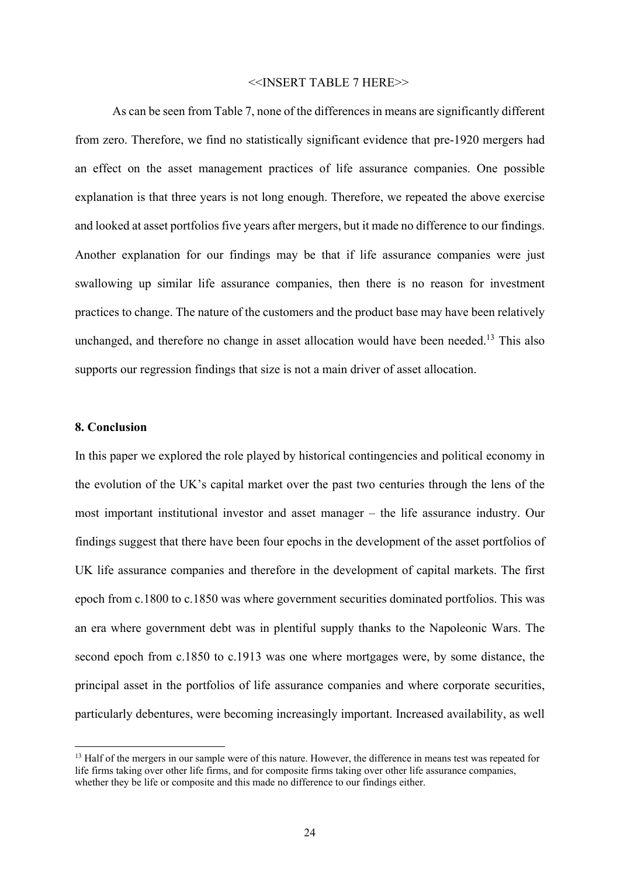#### <<INSERT TABLE 7 HERE>>

As can be seen from Table 7, none of the differences in means are significantly different from zero. Therefore, we find no statistically significant evidence that pre-1920 mergers had an effect on the asset management practices of life assurance companies. One possible explanation is that three years is not long enough. Therefore, we repeated the above exercise and looked at asset portfolios five years after mergers, but it made no difference to our findings. Another explanation for our findings may be that if life assurance companies were just swallowing up similar life assurance companies, then there is no reason for investment practices to change. The nature of the customers and the product base may have been relatively unchanged, and therefore no change in asset allocation would have been needed.<sup>13</sup> This also supports our regression findings that size is not a main driver of asset allocation.

## **8. Conclusion**

**.** 

In this paper we explored the role played by historical contingencies and political economy in the evolution of the UK's capital market over the past two centuries through the lens of the most important institutional investor and asset manager – the life assurance industry. Our findings suggest that there have been four epochs in the development of the asset portfolios of UK life assurance companies and therefore in the development of capital markets. The first epoch from c.1800 to c.1850 was where government securities dominated portfolios. This was an era where government debt was in plentiful supply thanks to the Napoleonic Wars. The second epoch from c.1850 to c.1913 was one where mortgages were, by some distance, the principal asset in the portfolios of life assurance companies and where corporate securities, particularly debentures, were becoming increasingly important. Increased availability, as well

<sup>&</sup>lt;sup>13</sup> Half of the mergers in our sample were of this nature. However, the difference in means test was repeated for life firms taking over other life firms, and for composite firms taking over other life assurance companies, whether they be life or composite and this made no difference to our findings either.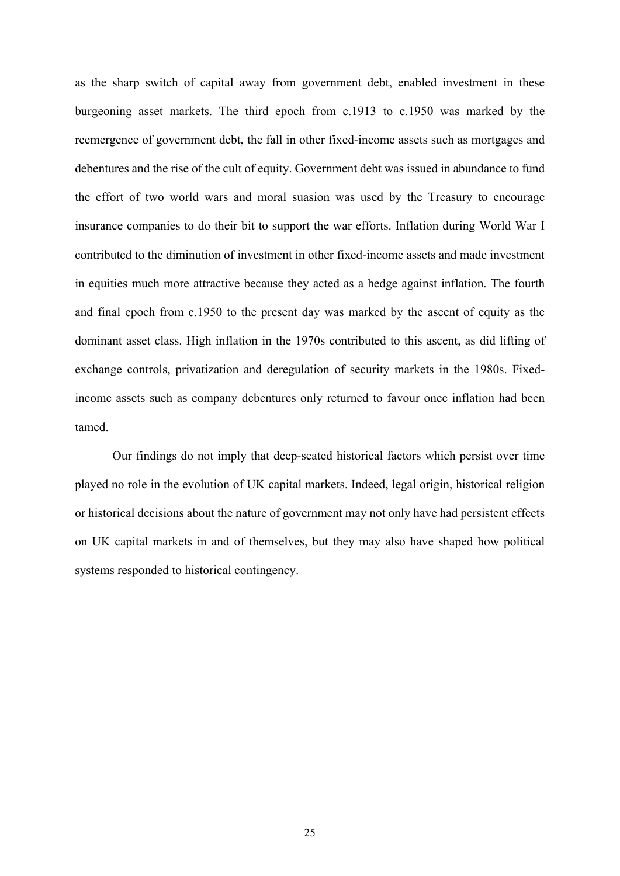as the sharp switch of capital away from government debt, enabled investment in these burgeoning asset markets. The third epoch from c.1913 to c.1950 was marked by the reemergence of government debt, the fall in other fixed-income assets such as mortgages and debentures and the rise of the cult of equity. Government debt was issued in abundance to fund the effort of two world wars and moral suasion was used by the Treasury to encourage insurance companies to do their bit to support the war efforts. Inflation during World War I contributed to the diminution of investment in other fixed-income assets and made investment in equities much more attractive because they acted as a hedge against inflation. The fourth and final epoch from c.1950 to the present day was marked by the ascent of equity as the dominant asset class. High inflation in the 1970s contributed to this ascent, as did lifting of exchange controls, privatization and deregulation of security markets in the 1980s. Fixedincome assets such as company debentures only returned to favour once inflation had been tamed.

Our findings do not imply that deep-seated historical factors which persist over time played no role in the evolution of UK capital markets. Indeed, legal origin, historical religion or historical decisions about the nature of government may not only have had persistent effects on UK capital markets in and of themselves, but they may also have shaped how political systems responded to historical contingency.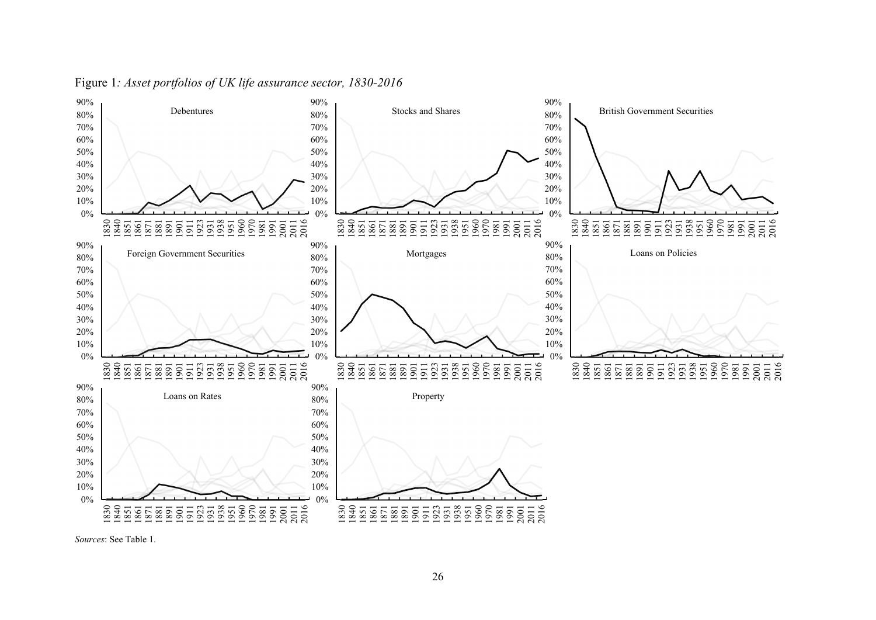

# Figure 1*: Asset portfolios of UK life assurance sector, 1830-2016*

*Sources*: See Table 1.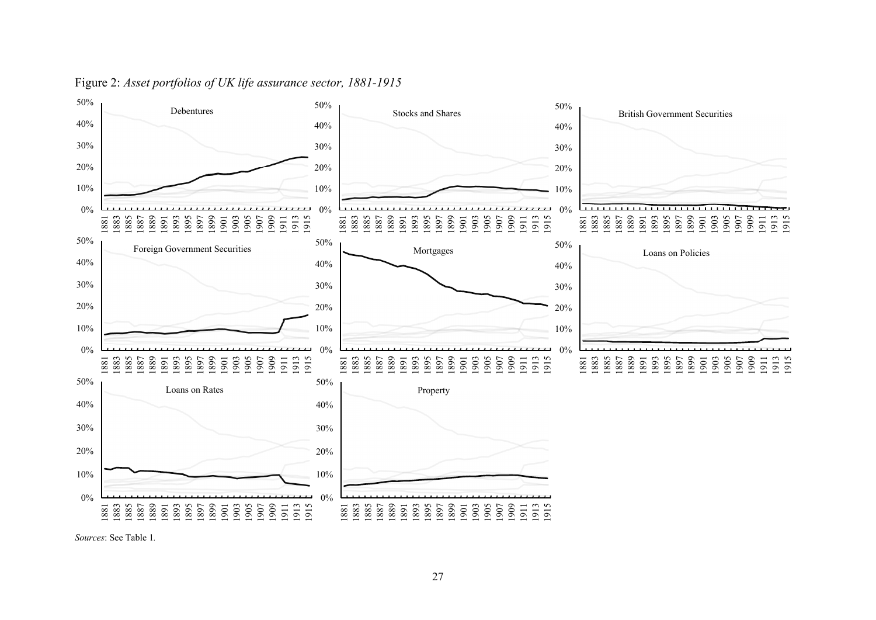

# Figure 2: *Asset portfolios of UK life assurance sector, 1881-1915*

*Sources*: See Table 1*.*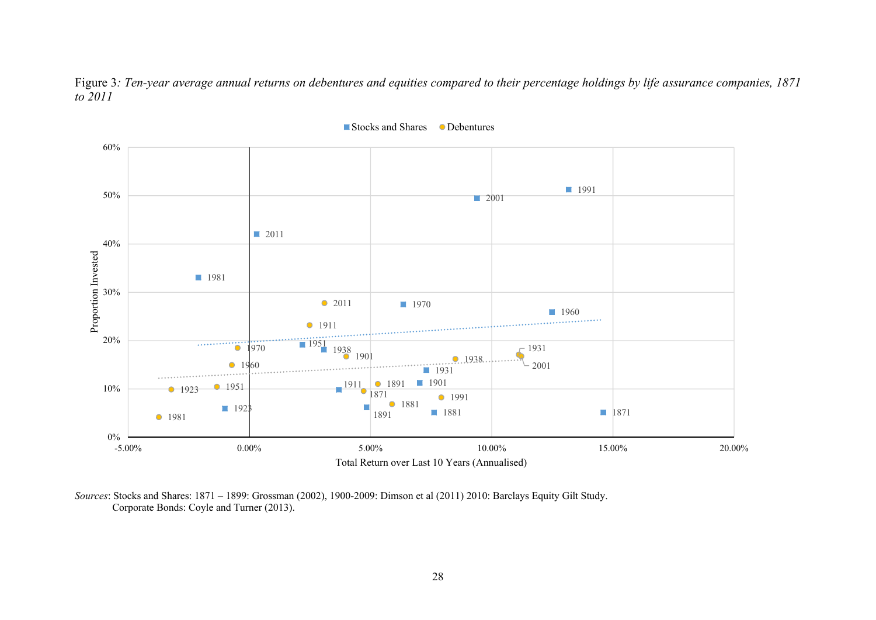Figure 3*: Ten-year average annual returns on debentures and equities compared to their percentage holdings by life assurance companies, 1871 to 2011* 



Stocks and Shares Debentures

*Sources*: Stocks and Shares: 1871 – 1899: Grossman (2002), 1900-2009: Dimson et al (2011) 2010: Barclays Equity Gilt Study. Corporate Bonds: Coyle and Turner (2013).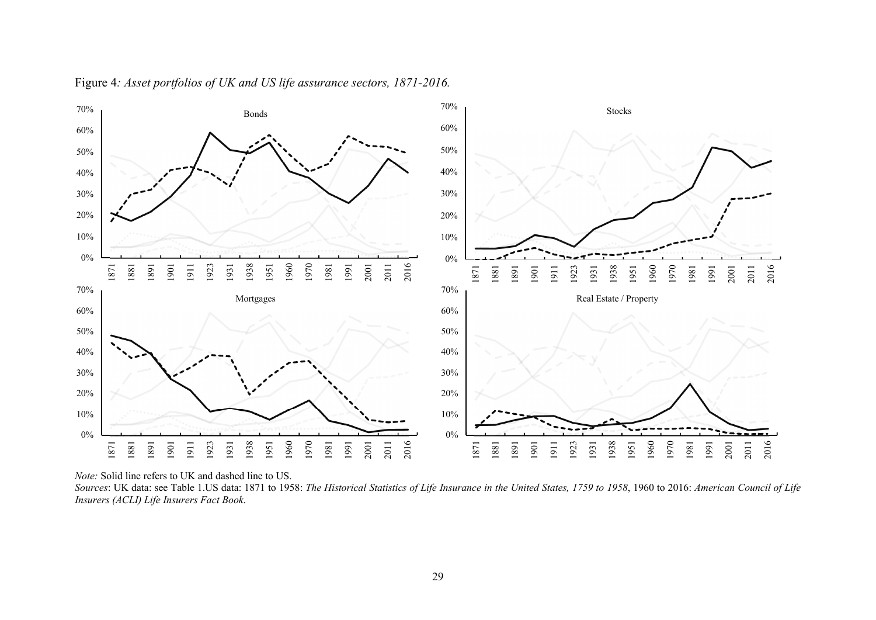

Figure 4*: Asset portfolios of UK and US life assurance sectors, 1871-2016.*

*Note:* Solid line refers to UK and dashed line to US.

*Sources*: UK data: see Table 1.US data: 1871 to 1958: *The Historical Statistics of Life Insurance in the United States, 1759 to 1958*, 1960 to 2016: *American Council of Life Insurers (ACLI) Life Insurers Fact Book*.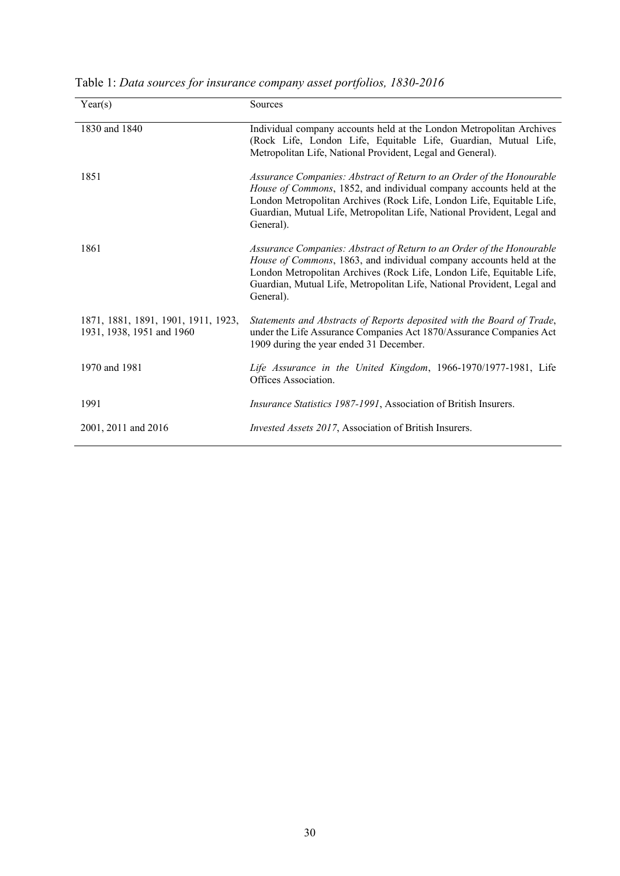| Year(s)                                                          | Sources                                                                                                                                                                                                                                                                                                       |
|------------------------------------------------------------------|---------------------------------------------------------------------------------------------------------------------------------------------------------------------------------------------------------------------------------------------------------------------------------------------------------------|
| 1830 and 1840                                                    | Individual company accounts held at the London Metropolitan Archives<br>(Rock Life, London Life, Equitable Life, Guardian, Mutual Life,<br>Metropolitan Life, National Provident, Legal and General).                                                                                                         |
| 1851                                                             | Assurance Companies: Abstract of Return to an Order of the Honourable<br>House of Commons, 1852, and individual company accounts held at the<br>London Metropolitan Archives (Rock Life, London Life, Equitable Life,<br>Guardian, Mutual Life, Metropolitan Life, National Provident, Legal and<br>General). |
| 1861                                                             | Assurance Companies: Abstract of Return to an Order of the Honourable<br>House of Commons, 1863, and individual company accounts held at the<br>London Metropolitan Archives (Rock Life, London Life, Equitable Life,<br>Guardian, Mutual Life, Metropolitan Life, National Provident, Legal and<br>General). |
| 1871, 1881, 1891, 1901, 1911, 1923,<br>1931, 1938, 1951 and 1960 | Statements and Abstracts of Reports deposited with the Board of Trade,<br>under the Life Assurance Companies Act 1870/Assurance Companies Act<br>1909 during the year ended 31 December.                                                                                                                      |
| 1970 and 1981                                                    | Life Assurance in the United Kingdom, 1966-1970/1977-1981, Life<br>Offices Association.                                                                                                                                                                                                                       |
| 1991                                                             | Insurance Statistics 1987-1991, Association of British Insurers.                                                                                                                                                                                                                                              |
| 2001, 2011 and 2016                                              | <i>Invested Assets 2017</i> , Association of British Insurers.                                                                                                                                                                                                                                                |

Table 1: *Data sources for insurance company asset portfolios, 1830-2016*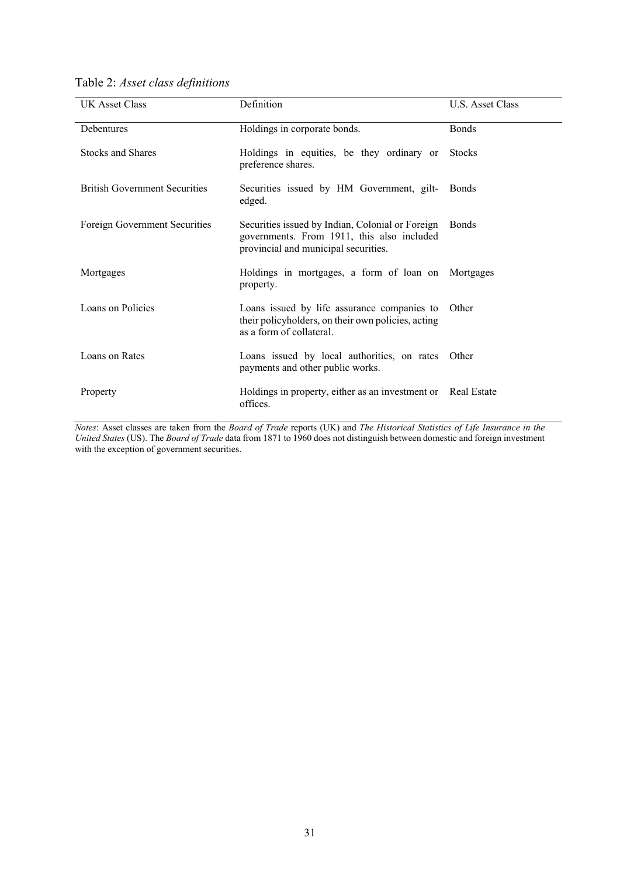| Table 2: Asset class definitions |  |  |
|----------------------------------|--|--|
|----------------------------------|--|--|

| <b>UK Asset Class</b>                | Definition                                                                                                                             | U.S. Asset Class |
|--------------------------------------|----------------------------------------------------------------------------------------------------------------------------------------|------------------|
| Debentures                           | Holdings in corporate bonds.                                                                                                           | <b>Bonds</b>     |
| <b>Stocks and Shares</b>             | Holdings in equities, be they ordinary or<br>preference shares.                                                                        | <b>Stocks</b>    |
| <b>British Government Securities</b> | Securities issued by HM Government, gilt-<br>edged.                                                                                    | <b>Bonds</b>     |
| Foreign Government Securities        | Securities issued by Indian, Colonial or Foreign<br>governments. From 1911, this also included<br>provincial and municipal securities. | Bonds            |
| Mortgages                            | Holdings in mortgages, a form of loan on Mortgages<br>property.                                                                        |                  |
| Loans on Policies                    | Loans issued by life assurance companies to<br>their policyholders, on their own policies, acting<br>as a form of collateral.          | Other            |
| Loans on Rates                       | Loans issued by local authorities, on rates<br>payments and other public works.                                                        | Other            |
| Property                             | Holdings in property, either as an investment or Real Estate<br>offices.                                                               |                  |

*Notes*: Asset classes are taken from the *Board of Trade* reports (UK) and *The Historical Statistics of Life Insurance in the United States* (US). The *Board of Trade* data from 1871 to 1960 does not distinguish between domestic and foreign investment with the exception of government securities.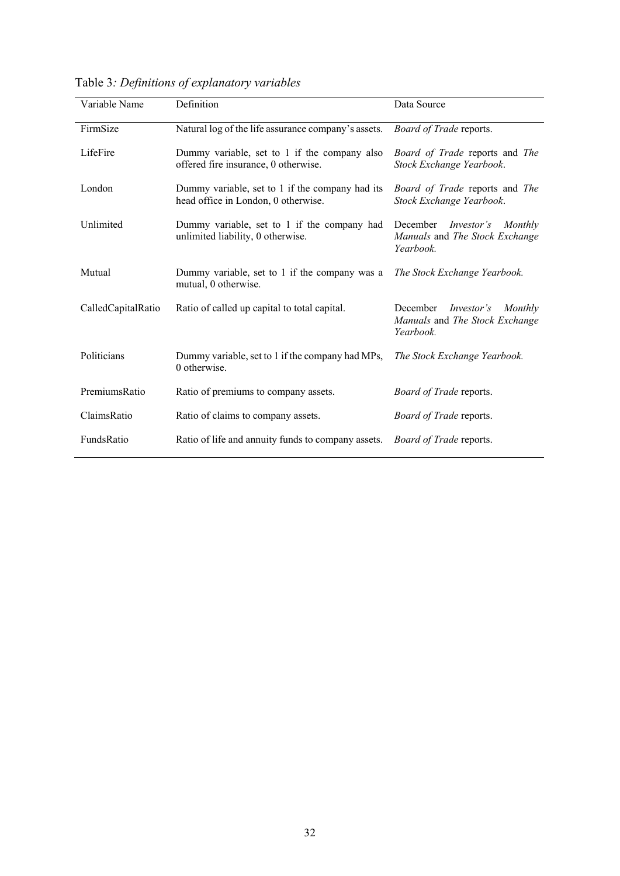| Variable Name      | Definition                                                                             | Data Source                                                                             |
|--------------------|----------------------------------------------------------------------------------------|-----------------------------------------------------------------------------------------|
| FirmSize           | Natural log of the life assurance company's assets.                                    | Board of Trade reports.                                                                 |
| LifeFire           | Dummy variable, set to 1 if the company also<br>offered fire insurance, 0 otherwise.   | Board of Trade reports and The<br>Stock Exchange Yearbook.                              |
| London             | Dummy variable, set to 1 if the company had its<br>head office in London, 0 otherwise. | Board of Trade reports and The<br>Stock Exchange Yearbook.                              |
| Unlimited          | Dummy variable, set to 1 if the company had<br>unlimited liability, 0 otherwise.       | December<br><i>Investor's</i><br>Monthly<br>Manuals and The Stock Exchange<br>Yearbook. |
| Mutual             | Dummy variable, set to 1 if the company was a<br>mutual, 0 otherwise.                  | The Stock Exchange Yearbook.                                                            |
| CalledCapitalRatio | Ratio of called up capital to total capital.                                           | December<br><i>Investor's</i><br>Monthly<br>Manuals and The Stock Exchange<br>Yearbook. |
| Politicians        | Dummy variable, set to 1 if the company had MPs,<br>0 otherwise.                       | The Stock Exchange Yearbook.                                                            |
| PremiumsRatio      | Ratio of premiums to company assets.                                                   | Board of Trade reports.                                                                 |
| ClaimsRatio        | Ratio of claims to company assets.                                                     | <i>Board of Trade reports.</i>                                                          |
| FundsRatio         | Ratio of life and annuity funds to company assets.                                     | <i>Board of Trade reports.</i>                                                          |

Table 3*: Definitions of explanatory variables*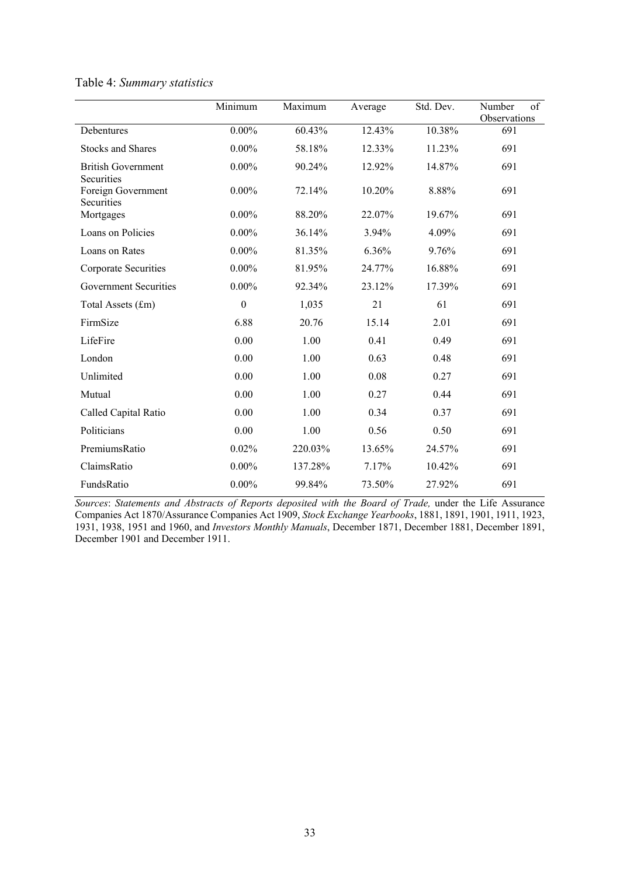|                                                | Minimum      | Maximum | Average | Std. Dev. | of<br>Number<br>Observations |
|------------------------------------------------|--------------|---------|---------|-----------|------------------------------|
| Debentures                                     | $0.00\%$     | 60.43%  | 12.43%  | 10.38%    | 691                          |
| <b>Stocks and Shares</b>                       | $0.00\%$     | 58.18%  | 12.33%  | 11.23%    | 691                          |
| <b>British Government</b>                      | $0.00\%$     | 90.24%  | 12.92%  | 14.87%    | 691                          |
| Securities<br>Foreign Government<br>Securities | $0.00\%$     | 72.14%  | 10.20%  | 8.88%     | 691                          |
| Mortgages                                      | $0.00\%$     | 88.20%  | 22.07%  | 19.67%    | 691                          |
| Loans on Policies                              | $0.00\%$     | 36.14%  | 3.94%   | 4.09%     | 691                          |
| Loans on Rates                                 | $0.00\%$     | 81.35%  | 6.36%   | 9.76%     | 691                          |
| Corporate Securities                           | $0.00\%$     | 81.95%  | 24.77%  | 16.88%    | 691                          |
| <b>Government Securities</b>                   | $0.00\%$     | 92.34%  | 23.12%  | 17.39%    | 691                          |
| Total Assets (£m)                              | $\mathbf{0}$ | 1,035   | 21      | 61        | 691                          |
| FirmSize                                       | 6.88         | 20.76   | 15.14   | 2.01      | 691                          |
| LifeFire                                       | 0.00         | 1.00    | 0.41    | 0.49      | 691                          |
| London                                         | 0.00         | 1.00    | 0.63    | 0.48      | 691                          |
| Unlimited                                      | 0.00         | 1.00    | 0.08    | 0.27      | 691                          |
| Mutual                                         | 0.00         | 1.00    | 0.27    | 0.44      | 691                          |
| Called Capital Ratio                           | 0.00         | 1.00    | 0.34    | 0.37      | 691                          |
| Politicians                                    | 0.00         | 1.00    | 0.56    | 0.50      | 691                          |
| PremiumsRatio                                  | 0.02%        | 220.03% | 13.65%  | 24.57%    | 691                          |
| ClaimsRatio                                    | $0.00\%$     | 137.28% | 7.17%   | 10.42%    | 691                          |
| FundsRatio                                     | $0.00\%$     | 99.84%  | 73.50%  | 27.92%    | 691                          |

# Table 4: *Summary statistics*

*Sources*: *Statements and Abstracts of Reports deposited with the Board of Trade,* under the Life Assurance Companies Act 1870/Assurance Companies Act 1909, *Stock Exchange Yearbooks*, 1881, 1891, 1901, 1911, 1923, 1931, 1938, 1951 and 1960, and *Investors Monthly Manuals*, December 1871, December 1881, December 1891, December 1901 and December 1911.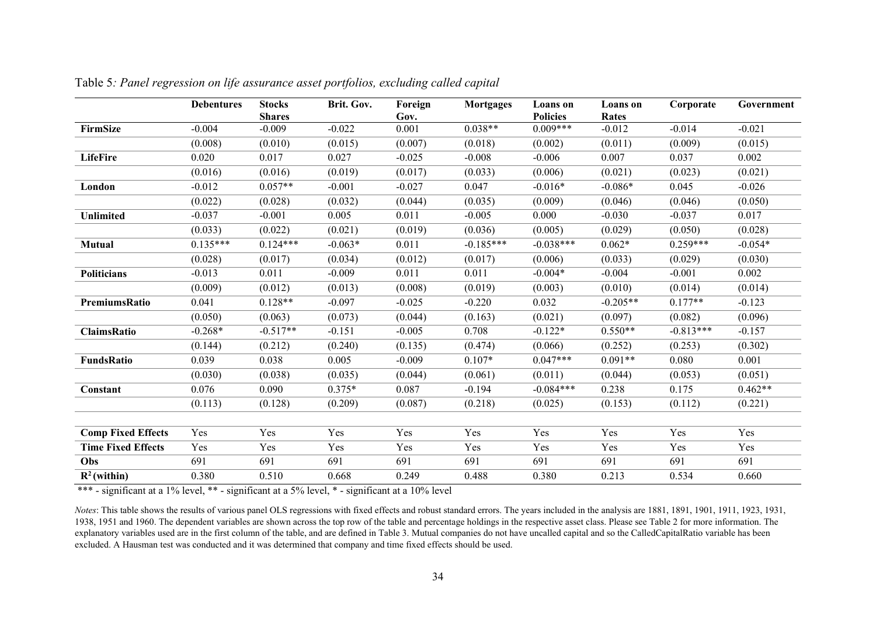|                           | <b>Debentures</b> | <b>Stocks</b><br><b>Shares</b> | Brit. Gov. | Foreign<br>Gov. | <b>Mortgages</b> | Loans on<br><b>Policies</b> | <b>Loans</b> on<br><b>Rates</b> | Corporate   | Government |
|---------------------------|-------------------|--------------------------------|------------|-----------------|------------------|-----------------------------|---------------------------------|-------------|------------|
| <b>FirmSize</b>           | $-0.004$          | $-0.009$                       | $-0.022$   | 0.001           | $0.038**$        | $0.009***$                  | $-0.012$                        | $-0.014$    | $-0.021$   |
|                           | (0.008)           | (0.010)                        | (0.015)    | (0.007)         | (0.018)          | (0.002)                     | (0.011)                         | (0.009)     | (0.015)    |
| <b>LifeFire</b>           | 0.020             | 0.017                          | 0.027      | $-0.025$        | $-0.008$         | $-0.006$                    | 0.007                           | 0.037       | 0.002      |
|                           | (0.016)           | (0.016)                        | (0.019)    | (0.017)         | (0.033)          | (0.006)                     | (0.021)                         | (0.023)     | (0.021)    |
| London                    | $-0.012$          | $0.057**$                      | $-0.001$   | $-0.027$        | 0.047            | $-0.016*$                   | $-0.086*$                       | 0.045       | $-0.026$   |
|                           | (0.022)           | (0.028)                        | (0.032)    | (0.044)         | (0.035)          | (0.009)                     | (0.046)                         | (0.046)     | (0.050)    |
| Unlimited                 | $-0.037$          | $-0.001$                       | 0.005      | 0.011           | $-0.005$         | 0.000                       | $-0.030$                        | $-0.037$    | 0.017      |
|                           | (0.033)           | (0.022)                        | (0.021)    | (0.019)         | (0.036)          | (0.005)                     | (0.029)                         | (0.050)     | (0.028)    |
| Mutual                    | $0.135***$        | $0.124***$                     | $-0.063*$  | 0.011           | $-0.185***$      | $-0.038***$                 | $0.062*$                        | $0.259***$  | $-0.054*$  |
|                           | (0.028)           | (0.017)                        | (0.034)    | (0.012)         | (0.017)          | (0.006)                     | (0.033)                         | (0.029)     | (0.030)    |
| <b>Politicians</b>        | $-0.013$          | 0.011                          | $-0.009$   | 0.011           | 0.011            | $-0.004*$                   | $-0.004$                        | $-0.001$    | 0.002      |
|                           | (0.009)           | (0.012)                        | (0.013)    | (0.008)         | (0.019)          | (0.003)                     | (0.010)                         | (0.014)     | (0.014)    |
| PremiumsRatio             | 0.041             | $0.128**$                      | $-0.097$   | $-0.025$        | $-0.220$         | 0.032                       | $-0.205**$                      | $0.177**$   | $-0.123$   |
|                           | (0.050)           | (0.063)                        | (0.073)    | (0.044)         | (0.163)          | (0.021)                     | (0.097)                         | (0.082)     | (0.096)    |
| <b>ClaimsRatio</b>        | $-0.268*$         | $-0.517**$                     | $-0.151$   | $-0.005$        | 0.708            | $-0.122*$                   | $0.550**$                       | $-0.813***$ | $-0.157$   |
|                           | (0.144)           | (0.212)                        | (0.240)    | (0.135)         | (0.474)          | (0.066)                     | (0.252)                         | (0.253)     | (0.302)    |
| FundsRatio                | 0.039             | 0.038                          | 0.005      | $-0.009$        | $0.107*$         | $0.047***$                  | $0.091**$                       | 0.080       | 0.001      |
|                           | (0.030)           | (0.038)                        | (0.035)    | (0.044)         | (0.061)          | (0.011)                     | (0.044)                         | (0.053)     | (0.051)    |
| Constant                  | 0.076             | 0.090                          | $0.375*$   | 0.087           | $-0.194$         | $-0.084***$                 | 0.238                           | 0.175       | $0.462**$  |
|                           | (0.113)           | (0.128)                        | (0.209)    | (0.087)         | (0.218)          | (0.025)                     | (0.153)                         | (0.112)     | (0.221)    |
|                           |                   |                                |            |                 |                  |                             |                                 |             |            |
| <b>Comp Fixed Effects</b> | Yes               | Yes                            | Yes        | Yes             | Yes              | Yes                         | Yes                             | Yes         | Yes        |
| <b>Time Fixed Effects</b> | Yes               | Yes                            | Yes        | Yes             | Yes              | Yes                         | Yes                             | Yes         | Yes        |
| Obs                       | 691               | 691                            | 691        | 691             | 691              | 691                         | 691                             | 691         | 691        |
| $R^2$ (within)            | 0.380             | 0.510                          | 0.668      | 0.249           | 0.488            | 0.380                       | 0.213                           | 0.534       | 0.660      |

Table 5*: Panel regression on life assurance asset portfolios, excluding called capital* 

\*\*\* - significant at a 1% level, \*\* - significant at a 5% level, \* - significant at a 10% level

*Notes*: This table shows the results of various panel OLS regressions with fixed effects and robust standard errors. The years included in the analysis are 1881, 1891, 1901, 1911, 1923, 1931, 1938, 1951 and 1960. The dependent variables are shown across the top row of the table and percentage holdings in the respective asset class. Please see Table 2 for more information. The explanatory variables used are in the first column of the table, and are defined in Table 3. Mutual companies do not have uncalled capital and so the CalledCapitalRatio variable has been excluded. A Hausman test was conducted and it was determined that company and time fixed effects should be used.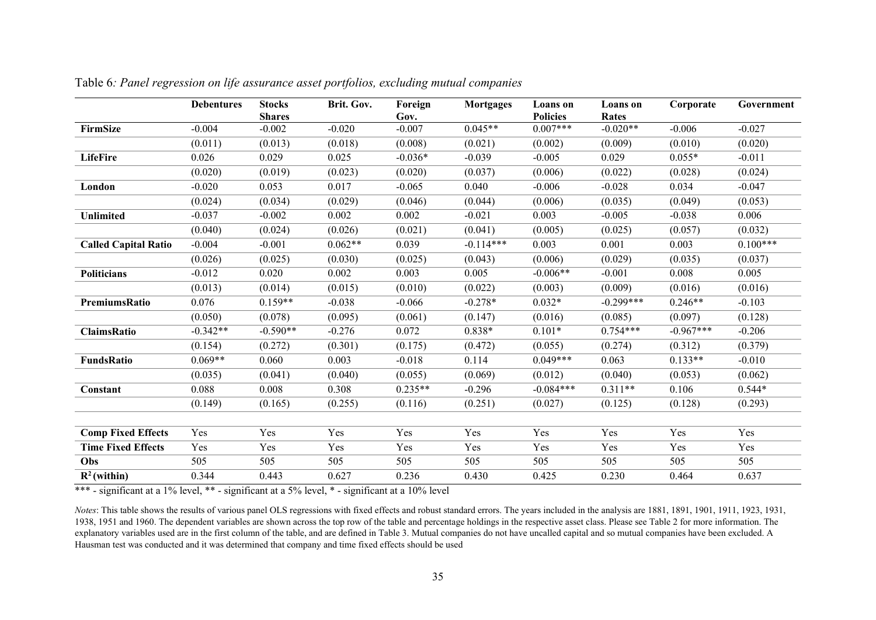|                             | <b>Debentures</b> | <b>Stocks</b><br><b>Shares</b> | Brit. Gov. | Foreign<br>Gov. | <b>Mortgages</b> | <b>Loans</b> on<br><b>Policies</b> | <b>Loans</b> on<br><b>Rates</b> | Corporate   | Government |
|-----------------------------|-------------------|--------------------------------|------------|-----------------|------------------|------------------------------------|---------------------------------|-------------|------------|
| FirmSize                    | $-0.004$          | $-0.002$                       | $-0.020$   | $-0.007$        | $0.045**$        | $0.007***$                         | $-0.020**$                      | $-0.006$    | $-0.027$   |
|                             | (0.011)           | (0.013)                        | (0.018)    | (0.008)         | (0.021)          | (0.002)                            | (0.009)                         | (0.010)     | (0.020)    |
| <b>LifeFire</b>             | 0.026             | 0.029                          | 0.025      | $-0.036*$       | $-0.039$         | $-0.005$                           | 0.029                           | $0.055*$    | $-0.011$   |
|                             | (0.020)           | (0.019)                        | (0.023)    | (0.020)         | (0.037)          | (0.006)                            | (0.022)                         | (0.028)     | (0.024)    |
| London                      | $-0.020$          | 0.053                          | 0.017      | $-0.065$        | 0.040            | $-0.006$                           | $-0.028$                        | 0.034       | $-0.047$   |
|                             | (0.024)           | (0.034)                        | (0.029)    | (0.046)         | (0.044)          | (0.006)                            | (0.035)                         | (0.049)     | (0.053)    |
| Unlimited                   | $-0.037$          | $-0.002$                       | 0.002      | 0.002           | $-0.021$         | 0.003                              | $-0.005$                        | $-0.038$    | 0.006      |
|                             | (0.040)           | (0.024)                        | (0.026)    | (0.021)         | (0.041)          | (0.005)                            | (0.025)                         | (0.057)     | (0.032)    |
| <b>Called Capital Ratio</b> | $-0.004$          | $-0.001$                       | $0.062**$  | 0.039           | $-0.114***$      | 0.003                              | 0.001                           | 0.003       | $0.100***$ |
|                             | (0.026)           | (0.025)                        | (0.030)    | (0.025)         | (0.043)          | (0.006)                            | (0.029)                         | (0.035)     | (0.037)    |
| <b>Politicians</b>          | $-0.012$          | 0.020                          | 0.002      | 0.003           | 0.005            | $-0.006**$                         | $-0.001$                        | 0.008       | 0.005      |
|                             | (0.013)           | (0.014)                        | (0.015)    | (0.010)         | (0.022)          | (0.003)                            | (0.009)                         | (0.016)     | (0.016)    |
| <b>PremiumsRatio</b>        | 0.076             | $0.159**$                      | $-0.038$   | $-0.066$        | $-0.278*$        | $0.032*$                           | $-0.299***$                     | $0.246**$   | $-0.103$   |
|                             | (0.050)           | (0.078)                        | (0.095)    | (0.061)         | (0.147)          | (0.016)                            | (0.085)                         | (0.097)     | (0.128)    |
| <b>ClaimsRatio</b>          | $-0.342**$        | $-0.590**$                     | $-0.276$   | 0.072           | $0.838*$         | $0.101*$                           | $0.754***$                      | $-0.967***$ | $-0.206$   |
|                             | (0.154)           | (0.272)                        | (0.301)    | (0.175)         | (0.472)          | (0.055)                            | (0.274)                         | (0.312)     | (0.379)    |
| <b>FundsRatio</b>           | $0.069**$         | 0.060                          | 0.003      | $-0.018$        | 0.114            | $0.049***$                         | 0.063                           | $0.133**$   | $-0.010$   |
|                             | (0.035)           | (0.041)                        | (0.040)    | (0.055)         | (0.069)          | (0.012)                            | (0.040)                         | (0.053)     | (0.062)    |
| Constant                    | 0.088             | 0.008                          | 0.308      | $0.235**$       | $-0.296$         | $-0.084***$                        | $0.311**$                       | 0.106       | $0.544*$   |
|                             | (0.149)           | (0.165)                        | (0.255)    | (0.116)         | (0.251)          | (0.027)                            | (0.125)                         | (0.128)     | (0.293)    |
|                             |                   |                                |            |                 |                  |                                    |                                 |             |            |
| <b>Comp Fixed Effects</b>   | Yes               | Yes                            | Yes        | Yes             | Yes              | Yes                                | Yes                             | Yes         | Yes        |
| <b>Time Fixed Effects</b>   | Yes               | Yes                            | Yes        | Yes             | Yes              | Yes                                | Yes                             | Yes         | Yes        |
| Obs                         | 505               | 505                            | 505        | 505             | 505              | 505                                | 505                             | 505         | 505        |
| $R^2$ (within)              | 0.344             | 0.443                          | 0.627      | 0.236           | 0.430            | 0.425                              | 0.230                           | 0.464       | 0.637      |

Table 6*: Panel regression on life assurance asset portfolios, excluding mutual companies* 

\*\*\* - significant at a 1% level, \*\* - significant at a 5% level, \* - significant at a 10% level

*Notes*: This table shows the results of various panel OLS regressions with fixed effects and robust standard errors. The years included in the analysis are 1881, 1891, 1901, 1911, 1923, 1931, 1938, 1951 and 1960. The dependent variables are shown across the top row of the table and percentage holdings in the respective asset class. Please see Table 2 for more information. The explanatory variables used are in the first column of the table, and are defined in Table 3. Mutual companies do not have uncalled capital and so mutual companies have been excluded. A Hausman test was conducted and it was determined that company and time fixed effects should be used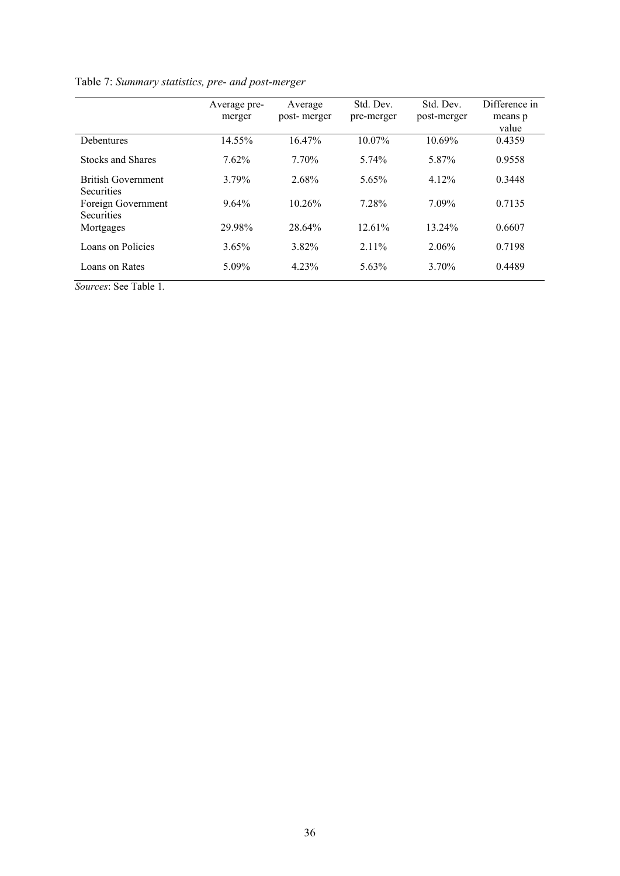|                                                | Average pre-<br>merger | Average<br>post-merger | Std. Dev.<br>pre-merger | Std. Dev.<br>post-merger | Difference in<br>means p<br>value |
|------------------------------------------------|------------------------|------------------------|-------------------------|--------------------------|-----------------------------------|
| <b>Debentures</b>                              | 14.55%                 | 16.47%                 | 10.07%                  | 10.69%                   | 0.4359                            |
| <b>Stocks and Shares</b>                       | 7.62%                  | 7.70%                  | 5.74%                   | 5.87%                    | 0.9558                            |
| <b>British Government</b><br><b>Securities</b> | 3.79%                  | 2.68%                  | 5.65%                   | 4.12%                    | 0.3448                            |
| Foreign Government<br><b>Securities</b>        | $9.64\%$               | 10.26%                 | 7.28%                   | 7.09%                    | 0.7135                            |
| Mortgages                                      | 29.98%                 | 28.64%                 | 12.61%                  | 13.24%                   | 0.6607                            |
| Loans on Policies                              | 3.65%                  | 3.82%                  | $2.11\%$                | 2.06%                    | 0.7198                            |
| Loans on Rates                                 | 5.09%                  | 4.23%                  | 5.63%                   | 3.70%                    | 0.4489                            |

# Table 7: *Summary statistics, pre- and post-merger*

*Sources*: See Table 1*.*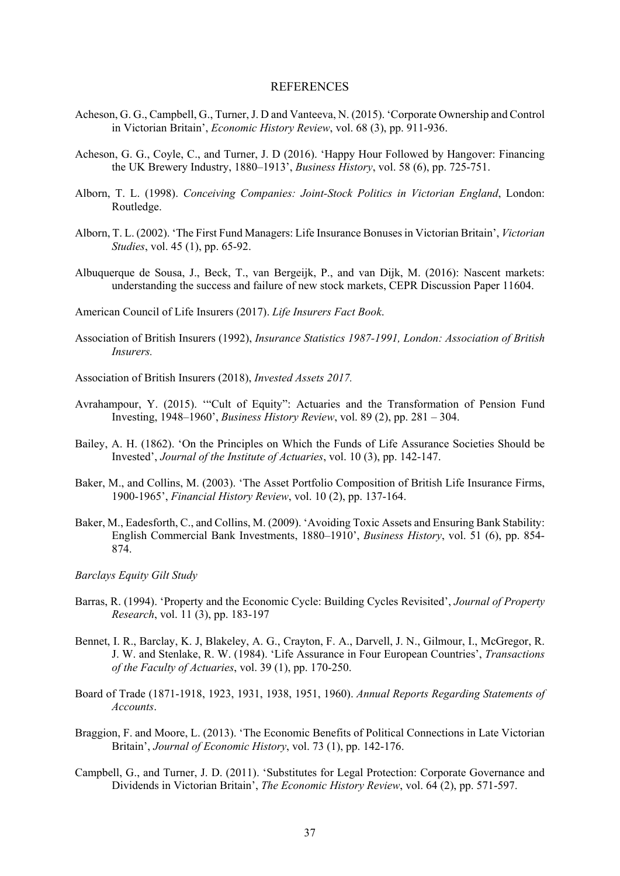#### **REFERENCES**

- Acheson, G. G., Campbell, G., Turner, J. D and Vanteeva, N. (2015). 'Corporate Ownership and Control in Victorian Britain', *Economic History Review*, vol. 68 (3), pp. 911-936.
- Acheson, G. G., Coyle, C., and Turner, J. D (2016). 'Happy Hour Followed by Hangover: Financing the UK Brewery Industry, 1880–1913', *Business History*, vol. 58 (6), pp. 725-751.
- Alborn, T. L. (1998). *Conceiving Companies: Joint-Stock Politics in Victorian England*, London: Routledge.
- Alborn, T. L. (2002). 'The First Fund Managers: Life Insurance Bonuses in Victorian Britain', *Victorian Studies*, vol. 45 (1), pp. 65-92.
- Albuquerque de Sousa, J., Beck, T., van Bergeijk, P., and van Dijk, M. (2016): Nascent markets: understanding the success and failure of new stock markets, CEPR Discussion Paper 11604.

American Council of Life Insurers (2017). *Life Insurers Fact Book*.

Association of British Insurers (1992), *Insurance Statistics 1987-1991, London: Association of British Insurers.* 

Association of British Insurers (2018), *Invested Assets 2017.* 

- Avrahampour, Y. (2015). '"Cult of Equity": Actuaries and the Transformation of Pension Fund Investing, 1948–1960', *Business History Review*, vol. 89 (2), pp. 281 – 304.
- Bailey, A. H. (1862). 'On the Principles on Which the Funds of Life Assurance Societies Should be Invested', *Journal of the Institute of Actuaries*, vol. 10 (3), pp. 142-147.
- Baker, M., and Collins, M. (2003). 'The Asset Portfolio Composition of British Life Insurance Firms, 1900-1965', *Financial History Review*, vol. 10 (2), pp. 137-164.
- Baker, M., Eadesforth, C., and Collins, M. (2009). 'Avoiding Toxic Assets and Ensuring Bank Stability: English Commercial Bank Investments, 1880–1910', *Business History*, vol. 51 (6), pp. 854- 874.

#### *Barclays Equity Gilt Study*

- Barras, R. (1994). 'Property and the Economic Cycle: Building Cycles Revisited', *Journal of Property Research*, vol. 11 (3), pp. 183-197
- Bennet, I. R., Barclay, K. J, Blakeley, A. G., Crayton, F. A., Darvell, J. N., Gilmour, I., McGregor, R. J. W. and Stenlake, R. W. (1984). 'Life Assurance in Four European Countries', *Transactions of the Faculty of Actuaries*, vol. 39 (1), pp. 170-250.
- Board of Trade (1871-1918, 1923, 1931, 1938, 1951, 1960). *Annual Reports Regarding Statements of Accounts*.
- Braggion, F. and Moore, L. (2013). 'The Economic Benefits of Political Connections in Late Victorian Britain', *Journal of Economic History*, vol. 73 (1), pp. 142-176.
- Campbell, G., and Turner, J. D. (2011). 'Substitutes for Legal Protection: Corporate Governance and Dividends in Victorian Britain', *The Economic History Review*, vol. 64 (2), pp. 571-597.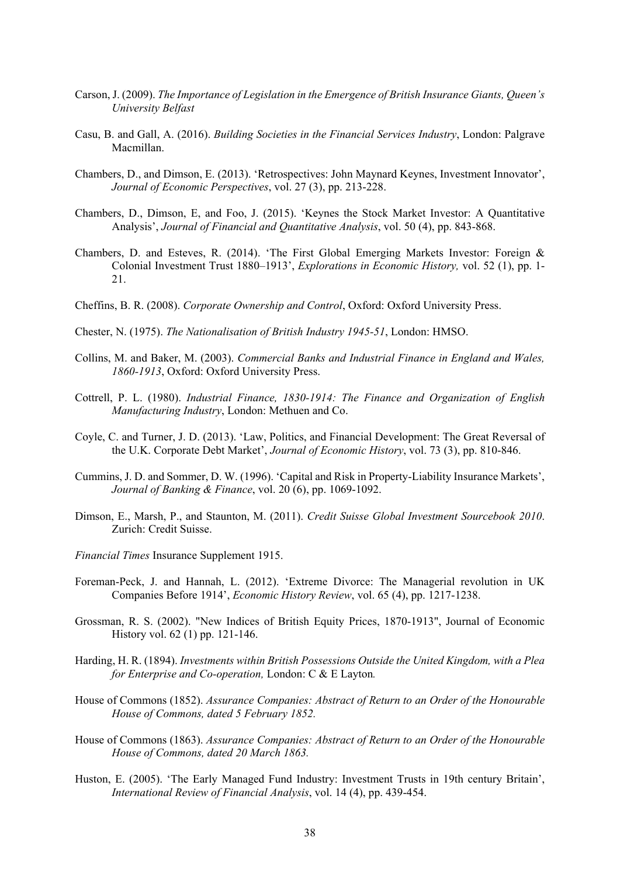- Carson, J. (2009). *The Importance of Legislation in the Emergence of British Insurance Giants, Queen's University Belfast*
- Casu, B. and Gall, A. (2016). *Building Societies in the Financial Services Industry*, London: Palgrave Macmillan.
- Chambers, D., and Dimson, E. (2013). 'Retrospectives: John Maynard Keynes, Investment Innovator', *Journal of Economic Perspectives*, vol. 27 (3), pp. 213-228.
- Chambers, D., Dimson, E, and Foo, J. (2015). 'Keynes the Stock Market Investor: A Quantitative Analysis', *Journal of Financial and Quantitative Analysis*, vol. 50 (4), pp. 843-868.
- Chambers, D. and Esteves, R. (2014). 'The First Global Emerging Markets Investor: Foreign & Colonial Investment Trust 1880–1913', *Explorations in Economic History,* vol. 52 (1), pp. 1- 21.
- Cheffins, B. R. (2008). *Corporate Ownership and Control*, Oxford: Oxford University Press.
- Chester, N. (1975). *The Nationalisation of British Industry 1945-51*, London: HMSO.
- Collins, M. and Baker, M. (2003). *Commercial Banks and Industrial Finance in England and Wales, 1860-1913*, Oxford: Oxford University Press.
- Cottrell, P. L. (1980). *Industrial Finance, 1830-1914: The Finance and Organization of English Manufacturing Industry*, London: Methuen and Co.
- Coyle, C. and Turner, J. D. (2013). 'Law, Politics, and Financial Development: The Great Reversal of the U.K. Corporate Debt Market', *Journal of Economic History*, vol. 73 (3), pp. 810-846.
- Cummins, J. D. and Sommer, D. W. (1996). 'Capital and Risk in Property-Liability Insurance Markets', *Journal of Banking & Finance*, vol. 20 (6), pp. 1069-1092.
- Dimson, E., Marsh, P., and Staunton, M. (2011). *Credit Suisse Global Investment Sourcebook 2010*. Zurich: Credit Suisse.
- *Financial Times* Insurance Supplement 1915.
- Foreman-Peck, J. and Hannah, L. (2012). 'Extreme Divorce: The Managerial revolution in UK Companies Before 1914', *Economic History Review*, vol. 65 (4), pp. 1217-1238.
- Grossman, R. S. (2002). "New Indices of British Equity Prices, 1870-1913", Journal of Economic History vol. 62 (1) pp. 121-146.
- Harding, H. R. (1894). *Investments within British Possessions Outside the United Kingdom, with a Plea for Enterprise and Co-operation,* London: C & E Layton*.*
- House of Commons (1852). *Assurance Companies: Abstract of Return to an Order of the Honourable House of Commons, dated 5 February 1852.*
- House of Commons (1863). *Assurance Companies: Abstract of Return to an Order of the Honourable House of Commons, dated 20 March 1863.*
- Huston, E. (2005). 'The Early Managed Fund Industry: Investment Trusts in 19th century Britain', *International Review of Financial Analysis*, vol. 14 (4), pp. 439-454.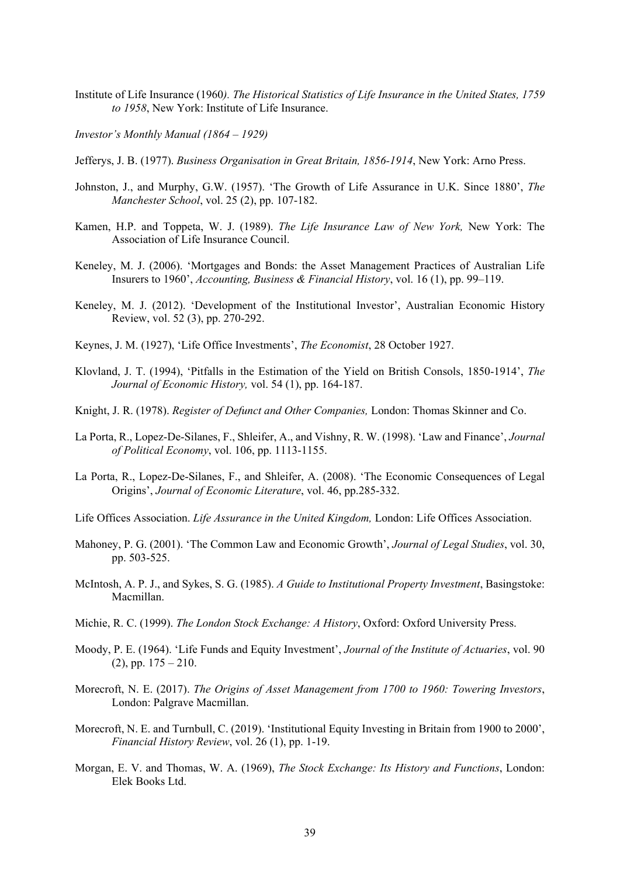- Institute of Life Insurance (1960*). The Historical Statistics of Life Insurance in the United States, 1759 to 1958*, New York: Institute of Life Insurance.
- *Investor's Monthly Manual (1864 1929)*
- Jefferys, J. B. (1977). *Business Organisation in Great Britain, 1856-1914*, New York: Arno Press.
- Johnston, J., and Murphy, G.W. (1957). 'The Growth of Life Assurance in U.K. Since 1880', *The Manchester School*, vol. 25 (2), pp. 107-182.
- Kamen, H.P. and Toppeta, W. J. (1989). *The Life Insurance Law of New York,* New York: The Association of Life Insurance Council.
- Keneley, M. J. (2006). 'Mortgages and Bonds: the Asset Management Practices of Australian Life Insurers to 1960', *Accounting, Business & Financial History*, vol. 16 (1), pp. 99–119.
- Keneley, M. J. (2012). 'Development of the Institutional Investor', Australian Economic History Review, vol. 52 (3), pp. 270-292.
- Keynes, J. M. (1927), 'Life Office Investments', *The Economist*, 28 October 1927.
- Klovland, J. T. (1994), 'Pitfalls in the Estimation of the Yield on British Consols, 1850-1914', *The Journal of Economic History,* vol. 54 (1), pp. 164-187.
- Knight, J. R. (1978). *Register of Defunct and Other Companies,* London: Thomas Skinner and Co.
- La Porta, R., Lopez-De-Silanes, F., Shleifer, A., and Vishny, R. W. (1998). 'Law and Finance', *Journal of Political Economy*, vol. 106, pp. 1113-1155.
- La Porta, R., Lopez-De-Silanes, F., and Shleifer, A. (2008). 'The Economic Consequences of Legal Origins', *Journal of Economic Literature*, vol. 46, pp.285-332.
- Life Offices Association. *Life Assurance in the United Kingdom,* London: Life Offices Association.
- Mahoney, P. G. (2001). 'The Common Law and Economic Growth', *Journal of Legal Studies*, vol. 30, pp. 503-525.
- McIntosh, A. P. J., and Sykes, S. G. (1985). *A Guide to Institutional Property Investment*, Basingstoke: Macmillan.
- Michie, R. C. (1999). *The London Stock Exchange: A History*, Oxford: Oxford University Press.
- Moody, P. E. (1964). 'Life Funds and Equity Investment', *Journal of the Institute of Actuaries*, vol. 90  $(2)$ , pp.  $175 - 210$ .
- Morecroft, N. E. (2017). *The Origins of Asset Management from 1700 to 1960: Towering Investors*, London: Palgrave Macmillan.
- Morecroft, N. E. and Turnbull, C. (2019). 'Institutional Equity Investing in Britain from 1900 to 2000', *Financial History Review*, vol. 26 (1), pp. 1-19.
- Morgan, E. V. and Thomas, W. A. (1969), *The Stock Exchange: Its History and Functions*, London: Elek Books Ltd.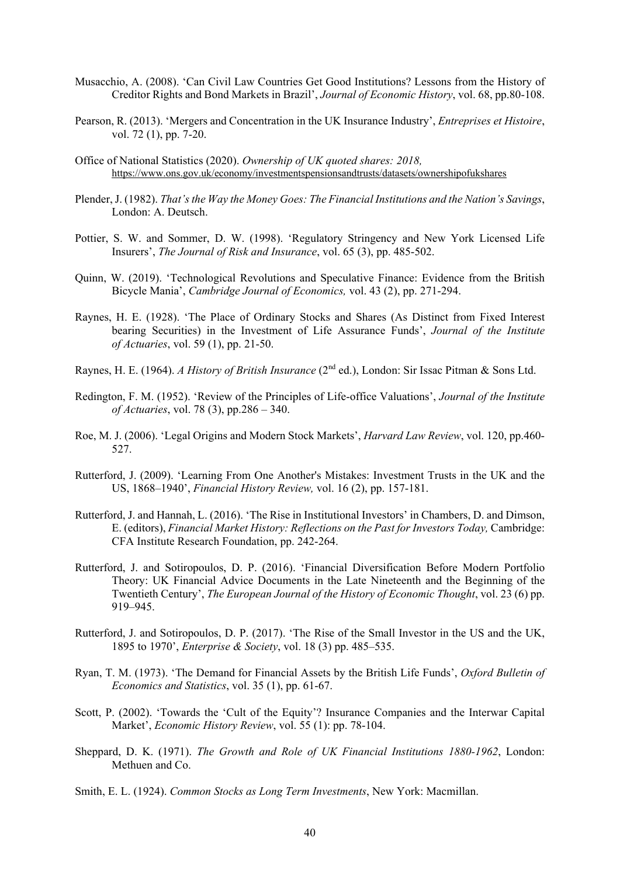- Musacchio, A. (2008). 'Can Civil Law Countries Get Good Institutions? Lessons from the History of Creditor Rights and Bond Markets in Brazil', *Journal of Economic History*, vol. 68, pp.80-108.
- Pearson, R. (2013). 'Mergers and Concentration in the UK Insurance Industry', *Entreprises et Histoire*, vol. 72 (1), pp. 7-20.
- Office of National Statistics (2020). *Ownership of UK quoted shares: 2018,*  https://www.ons.gov.uk/economy/investmentspensionsandtrusts/datasets/ownershipofukshares
- Plender, J. (1982). *That's the Way the Money Goes: The Financial Institutions and the Nation's Savings*, London: A. Deutsch.
- Pottier, S. W. and Sommer, D. W. (1998). 'Regulatory Stringency and New York Licensed Life Insurers', *The Journal of Risk and Insurance*, vol. 65 (3), pp. 485-502.
- Quinn, W. (2019). 'Technological Revolutions and Speculative Finance: Evidence from the British Bicycle Mania', *Cambridge Journal of Economics,* vol. 43 (2), pp. 271-294.
- Raynes, H. E. (1928). 'The Place of Ordinary Stocks and Shares (As Distinct from Fixed Interest bearing Securities) in the Investment of Life Assurance Funds', *Journal of the Institute of Actuaries*, vol. 59 (1), pp. 21-50.
- Raynes, H. E. (1964). *A History of British Insurance* (2nd ed.), London: Sir Issac Pitman & Sons Ltd.
- Redington, F. M. (1952). 'Review of the Principles of Life-office Valuations', *Journal of the Institute of Actuaries*, vol. 78 (3), pp.286 – 340.
- Roe, M. J. (2006). 'Legal Origins and Modern Stock Markets', *Harvard Law Review*, vol. 120, pp.460- 527.
- Rutterford, J. (2009). 'Learning From One Another's Mistakes: Investment Trusts in the UK and the US, 1868–1940', *Financial History Review,* vol. 16 (2), pp. 157-181.
- Rutterford, J. and Hannah, L. (2016). 'The Rise in Institutional Investors' in Chambers, D. and Dimson, E. (editors), *Financial Market History: Reflections on the Past for Investors Today,* Cambridge: CFA Institute Research Foundation, pp. 242-264.
- Rutterford, J. and Sotiropoulos, D. P. (2016). 'Financial Diversification Before Modern Portfolio Theory: UK Financial Advice Documents in the Late Nineteenth and the Beginning of the Twentieth Century', *The European Journal of the History of Economic Thought*, vol. 23 (6) pp. 919–945.
- Rutterford, J. and Sotiropoulos, D. P. (2017). 'The Rise of the Small Investor in the US and the UK, 1895 to 1970', *Enterprise & Society*, vol. 18 (3) pp. 485–535.
- Ryan, T. M. (1973). 'The Demand for Financial Assets by the British Life Funds', *Oxford Bulletin of Economics and Statistics*, vol. 35 (1), pp. 61-67.
- Scott, P. (2002). 'Towards the 'Cult of the Equity'? Insurance Companies and the Interwar Capital Market', *Economic History Review*, vol. 55 (1): pp. 78-104.
- Sheppard, D. K. (1971). *The Growth and Role of UK Financial Institutions 1880-1962*, London: Methuen and Co.
- Smith, E. L. (1924). *Common Stocks as Long Term Investments*, New York: Macmillan.